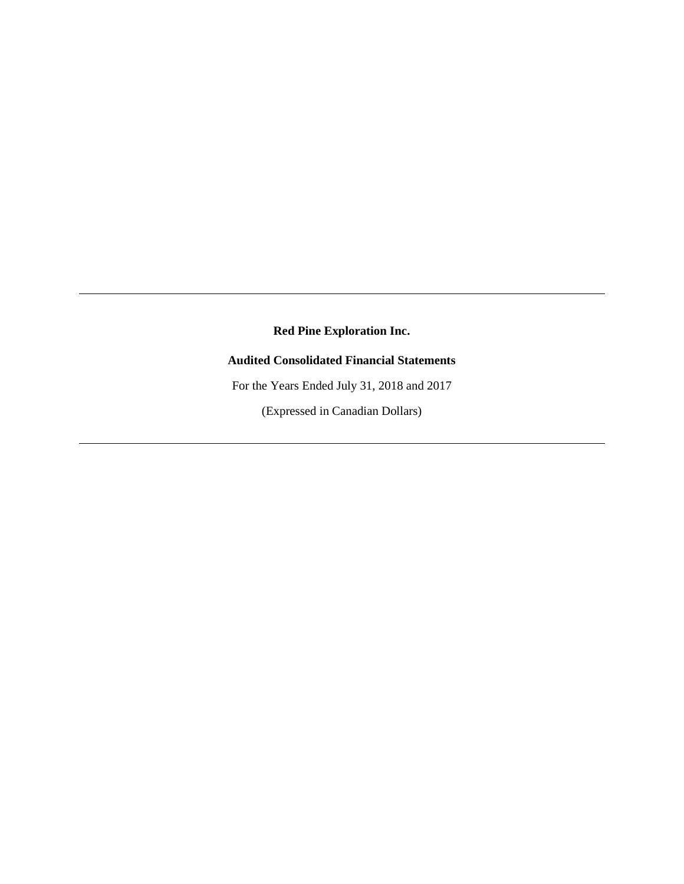# **Red Pine Exploration Inc.**

# **Audited Consolidated Financial Statements**

For the Years Ended July 31, 2018 and 2017

(Expressed in Canadian Dollars)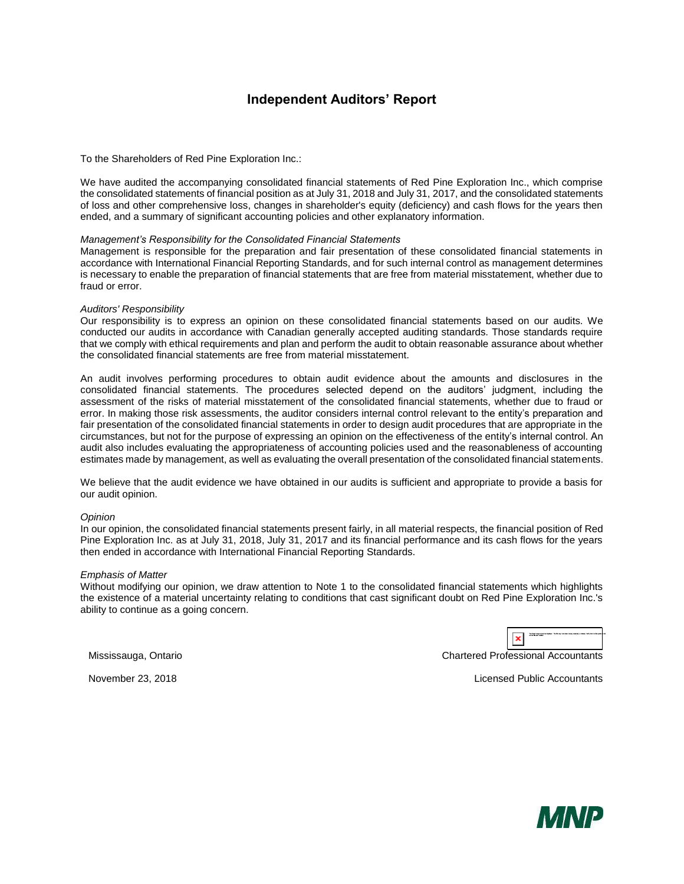# **Independent Auditors' Report**

To the Shareholders of Red Pine Exploration Inc.:

We have audited the accompanying consolidated financial statements of Red Pine Exploration Inc., which comprise the consolidated statements of financial position as at July 31, 2018 and July 31, 2017, and the consolidated statements of loss and other comprehensive loss, changes in shareholder's equity (deficiency) and cash flows for the years then ended, and a summary of significant accounting policies and other explanatory information.

#### *Management's Responsibility for the Consolidated Financial Statements*

Management is responsible for the preparation and fair presentation of these consolidated financial statements in accordance with International Financial Reporting Standards, and for such internal control as management determines is necessary to enable the preparation of financial statements that are free from material misstatement, whether due to fraud or error.

#### *Auditors' Responsibility*

Our responsibility is to express an opinion on these consolidated financial statements based on our audits. We conducted our audits in accordance with Canadian generally accepted auditing standards. Those standards require that we comply with ethical requirements and plan and perform the audit to obtain reasonable assurance about whether the consolidated financial statements are free from material misstatement.

An audit involves performing procedures to obtain audit evidence about the amounts and disclosures in the consolidated financial statements. The procedures selected depend on the auditors' judgment, including the assessment of the risks of material misstatement of the consolidated financial statements, whether due to fraud or error. In making those risk assessments, the auditor considers internal control relevant to the entity's preparation and fair presentation of the consolidated financial statements in order to design audit procedures that are appropriate in the circumstances, but not for the purpose of expressing an opinion on the effectiveness of the entity's internal control. An audit also includes evaluating the appropriateness of accounting policies used and the reasonableness of accounting estimates made by management, as well as evaluating the overall presentation of the consolidated financial statements.

We believe that the audit evidence we have obtained in our audits is sufficient and appropriate to provide a basis for our audit opinion.

#### *Opinion*

In our opinion, the consolidated financial statements present fairly, in all material respects, the financial position of Red Pine Exploration Inc. as at July 31, 2018, July 31, 2017 and its financial performance and its cash flows for the years then ended in accordance with International Financial Reporting Standards.

#### *Emphasis of Matter*

Without modifying our opinion, we draw attention to Note 1 to the consolidated financial statements which highlights the existence of a material uncertainty relating to conditions that cast significant doubt on Red Pine Exploration Inc.'s ability to continue as a going concern.

Mississauga, Ontario Chartered Professional Accountants

November 23, 2018 Licensed Public Accountants

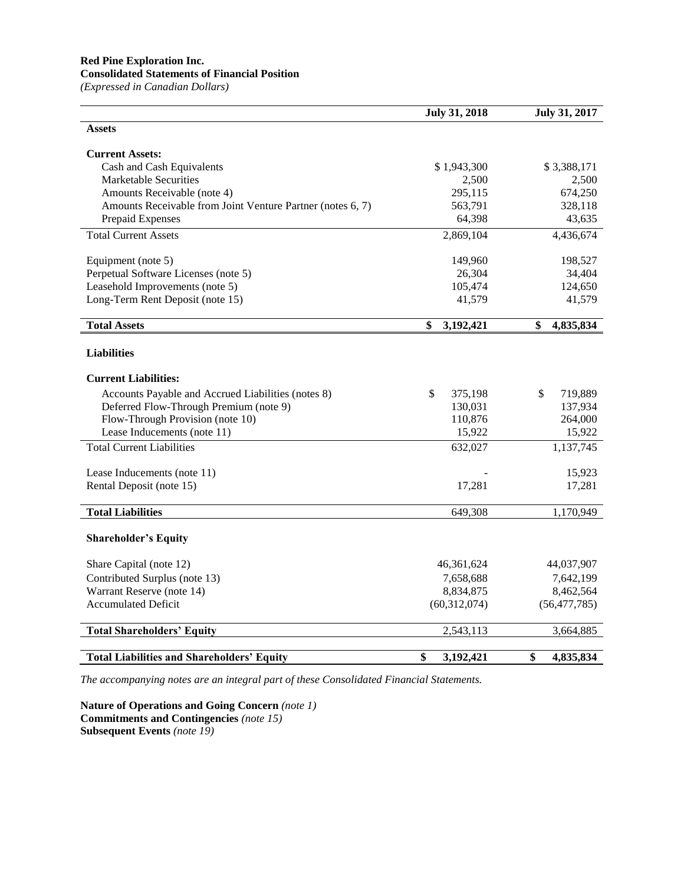# **Red Pine Exploration Inc.**

# **Consolidated Statements of Financial Position**

*(Expressed in Canadian Dollars)*

|                                                            | <b>July 31, 2018</b> | July 31, 2017           |
|------------------------------------------------------------|----------------------|-------------------------|
| <b>Assets</b>                                              |                      |                         |
|                                                            |                      |                         |
| <b>Current Assets:</b>                                     |                      |                         |
| Cash and Cash Equivalents<br><b>Marketable Securities</b>  | \$1,943,300<br>2,500 | \$3,388,171<br>2,500    |
| Amounts Receivable (note 4)                                | 295,115              | 674,250                 |
| Amounts Receivable from Joint Venture Partner (notes 6, 7) | 563,791              | 328,118                 |
| Prepaid Expenses                                           | 64,398               | 43,635                  |
| <b>Total Current Assets</b>                                | 2,869,104            | 4,436,674               |
|                                                            |                      |                         |
| Equipment (note 5)                                         | 149,960              | 198,527                 |
| Perpetual Software Licenses (note 5)                       | 26,304               | 34,404                  |
| Leasehold Improvements (note 5)                            | 105,474              | 124,650                 |
| Long-Term Rent Deposit (note 15)                           | 41,579               | 41,579                  |
|                                                            |                      |                         |
| <b>Total Assets</b>                                        | \$<br>3,192,421      | \$<br>4,835,834         |
|                                                            |                      |                         |
| <b>Liabilities</b>                                         |                      |                         |
| <b>Current Liabilities:</b>                                |                      |                         |
| Accounts Payable and Accrued Liabilities (notes 8)         | \$<br>375,198        | $\mathbb{S}$<br>719,889 |
| Deferred Flow-Through Premium (note 9)                     | 130,031              | 137,934                 |
| Flow-Through Provision (note 10)                           | 110,876              | 264,000                 |
| Lease Inducements (note 11)                                | 15,922               | 15,922                  |
| <b>Total Current Liabilities</b>                           | 632,027              | 1,137,745               |
|                                                            |                      |                         |
| Lease Inducements (note 11)                                |                      | 15,923                  |
| Rental Deposit (note 15)                                   | 17,281               | 17,281                  |
|                                                            |                      |                         |
| <b>Total Liabilities</b>                                   | 649,308              | 1,170,949               |
| <b>Shareholder's Equity</b>                                |                      |                         |
|                                                            |                      |                         |
| Share Capital (note 12)                                    | 46, 361, 624         | 44,037,907              |
| Contributed Surplus (note 13)                              | 7,658,688            | 7,642,199               |
| Warrant Reserve (note 14)                                  | 8,834,875            | 8,462,564               |
| <b>Accumulated Deficit</b>                                 | (60, 312, 074)       | (56, 477, 785)          |
|                                                            |                      |                         |
| <b>Total Shareholders' Equity</b>                          | 2,543,113            | 3,664,885               |
|                                                            |                      |                         |
| <b>Total Liabilities and Shareholders' Equity</b>          | \$<br>3,192,421      | \$<br>4,835,834         |

*The accompanying notes are an integral part of these Consolidated Financial Statements.*

**Nature of Operations and Going Concern** *(note 1)* **Commitments and Contingencies** *(note 15)* **Subsequent Events** *(note 19)*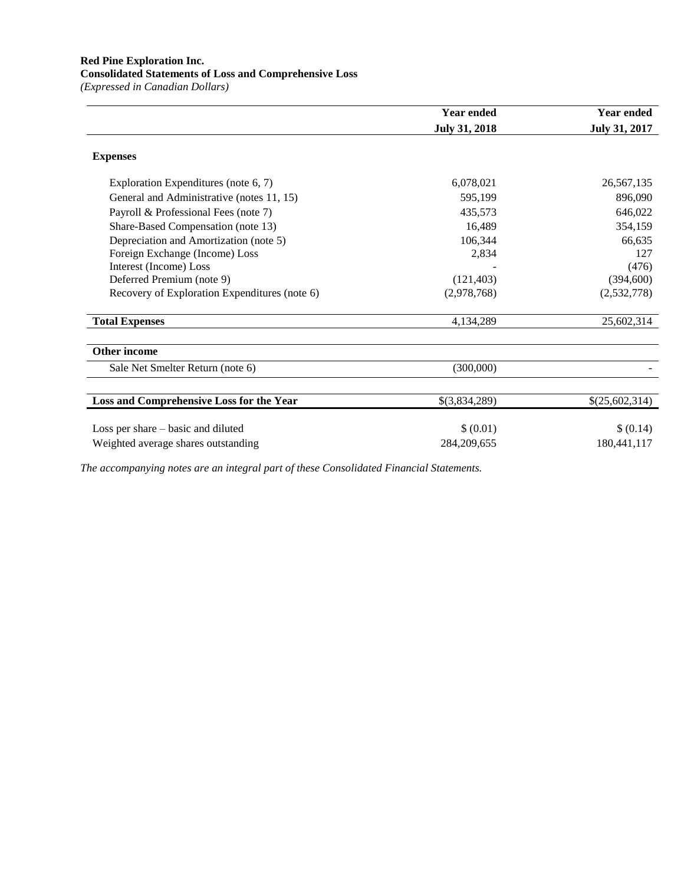### **Red Pine Exploration Inc. Consolidated Statements of Loss and Comprehensive Loss**

*(Expressed in Canadian Dollars)*

|                                               | <b>Year ended</b>    | <b>Year ended</b> |
|-----------------------------------------------|----------------------|-------------------|
|                                               | <b>July 31, 2018</b> | July 31, 2017     |
| <b>Expenses</b>                               |                      |                   |
| Exploration Expenditures (note 6, 7)          | 6,078,021            | 26,567,135        |
| General and Administrative (notes 11, 15)     | 595,199              | 896,090           |
| Payroll & Professional Fees (note 7)          | 435,573              | 646,022           |
| Share-Based Compensation (note 13)            | 16,489               | 354,159           |
| Depreciation and Amortization (note 5)        | 106,344              | 66,635            |
| Foreign Exchange (Income) Loss                | 2,834                | 127               |
| Interest (Income) Loss                        |                      | (476)             |
| Deferred Premium (note 9)                     | (121, 403)           | (394, 600)        |
| Recovery of Exploration Expenditures (note 6) | (2,978,768)          | (2,532,778)       |
| <b>Total Expenses</b>                         | 4,134,289            | 25,602,314        |
| <b>Other income</b>                           |                      |                   |
| Sale Net Smelter Return (note 6)              | (300,000)            |                   |
| Loss and Comprehensive Loss for the Year      | \$(3,834,289)        | \$(25,602,314)    |
|                                               |                      |                   |
| Loss per share $-$ basic and diluted          | \$ (0.01)            | \$ (0.14)         |
| Weighted average shares outstanding           | 284,209,655          | 180,441,117       |
|                                               |                      |                   |

*The accompanying notes are an integral part of these Consolidated Financial Statements.*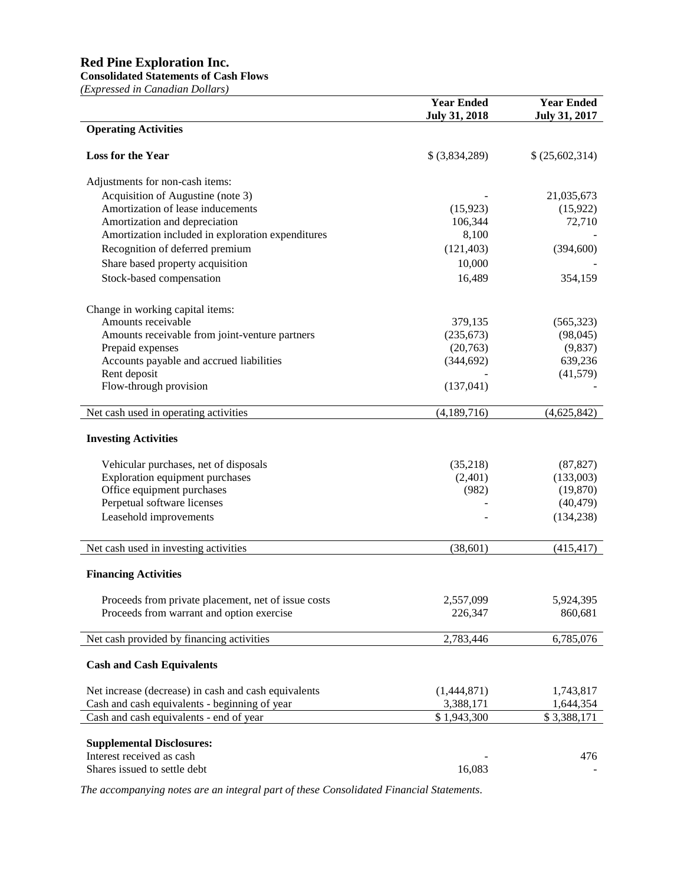# **Red Pine Exploration Inc.**

# **Consolidated Statements of Cash Flows**

*(Expressed in Canadian Dollars)*

|                                                      | <b>Year Ended</b><br><b>July 31, 2018</b> | <b>Year Ended</b><br><b>July 31, 2017</b> |
|------------------------------------------------------|-------------------------------------------|-------------------------------------------|
| <b>Operating Activities</b>                          |                                           |                                           |
| Loss for the Year                                    | \$(3,834,289)                             | \$ (25,602,314)                           |
|                                                      |                                           |                                           |
| Adjustments for non-cash items:                      |                                           |                                           |
| Acquisition of Augustine (note 3)                    |                                           | 21,035,673                                |
| Amortization of lease inducements                    | (15, 923)                                 | (15, 922)                                 |
| Amortization and depreciation                        | 106,344                                   | 72,710                                    |
| Amortization included in exploration expenditures    | 8,100                                     |                                           |
| Recognition of deferred premium                      | (121, 403)                                | (394, 600)                                |
| Share based property acquisition                     | 10,000                                    |                                           |
| Stock-based compensation                             | 16,489                                    | 354,159                                   |
|                                                      |                                           |                                           |
| Change in working capital items:                     |                                           |                                           |
| Amounts receivable                                   | 379,135                                   | (565,323)                                 |
| Amounts receivable from joint-venture partners       | (235, 673)                                | (98, 045)                                 |
| Prepaid expenses                                     | (20, 763)                                 | (9,837)                                   |
| Accounts payable and accrued liabilities             | (344, 692)                                | 639,236                                   |
| Rent deposit                                         |                                           | (41, 579)                                 |
| Flow-through provision                               | (137, 041)                                |                                           |
| Net cash used in operating activities                | (4,189,716)                               | (4,625,842)                               |
| <b>Investing Activities</b>                          |                                           |                                           |
| Vehicular purchases, net of disposals                | (35,218)                                  | (87, 827)                                 |
| Exploration equipment purchases                      | (2,401)                                   | (133,003)                                 |
| Office equipment purchases                           | (982)                                     | (19, 870)                                 |
| Perpetual software licenses                          |                                           | (40, 479)                                 |
| Leasehold improvements                               |                                           | (134, 238)                                |
| Net cash used in investing activities                | (38, 601)                                 | (415, 417)                                |
|                                                      |                                           |                                           |
| <b>Financing Activities</b>                          |                                           |                                           |
| Proceeds from private placement, net of issue costs  | 2,557,099                                 | 5,924,395                                 |
| Proceeds from warrant and option exercise            | 226,347                                   | 860,681                                   |
| Net cash provided by financing activities            | 2,783,446                                 | 6,785,076                                 |
| <b>Cash and Cash Equivalents</b>                     |                                           |                                           |
| Net increase (decrease) in cash and cash equivalents | (1,444,871)                               | 1,743,817                                 |
| Cash and cash equivalents - beginning of year        | 3,388,171                                 | 1,644,354                                 |
| Cash and cash equivalents - end of year              | $\overline{\$}$ 1,943,300                 | \$3,388,171                               |
| <b>Supplemental Disclosures:</b>                     |                                           |                                           |
| Interest received as cash                            |                                           | 476                                       |
| Shares issued to settle debt                         | 16,083                                    |                                           |

*The accompanying notes are an integral part of these Consolidated Financial Statements.*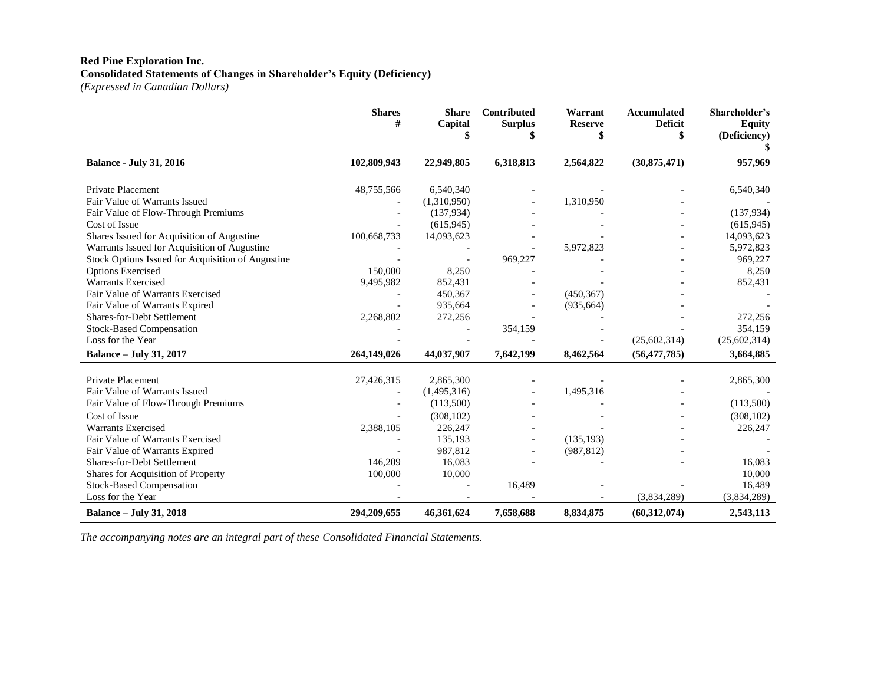### **Red Pine Exploration Inc. Consolidated Statements of Changes in Shareholder's Equity (Deficiency)** *(Expressed in Canadian Dollars)*

|                                                   | <b>Shares</b><br># | <b>Share</b><br>Capital<br>S | Contributed<br><b>Surplus</b><br>\$ | Warrant<br><b>Reserve</b><br>\$ | <b>Accumulated</b><br><b>Deficit</b><br>\$ | Shareholder's<br><b>Equity</b><br>(Deficiency) |
|---------------------------------------------------|--------------------|------------------------------|-------------------------------------|---------------------------------|--------------------------------------------|------------------------------------------------|
|                                                   |                    |                              |                                     |                                 |                                            |                                                |
| <b>Balance - July 31, 2016</b>                    | 102,809,943        | 22,949,805                   | 6,318,813                           | 2,564,822                       | (30,875,471)                               | 957,969                                        |
| Private Placement                                 | 48,755,566         | 6,540,340                    |                                     |                                 |                                            | 6,540,340                                      |
| Fair Value of Warrants Issued                     |                    | (1,310,950)                  |                                     | 1,310,950                       |                                            |                                                |
| Fair Value of Flow-Through Premiums               |                    | (137, 934)                   |                                     |                                 |                                            | (137, 934)                                     |
| Cost of Issue                                     |                    | (615, 945)                   |                                     |                                 |                                            | (615, 945)                                     |
| Shares Issued for Acquisition of Augustine        | 100,668,733        | 14,093,623                   |                                     |                                 |                                            | 14,093,623                                     |
| Warrants Issued for Acquisition of Augustine      |                    |                              |                                     | 5,972,823                       |                                            | 5,972,823                                      |
| Stock Options Issued for Acquisition of Augustine |                    |                              | 969,227                             |                                 |                                            | 969,227                                        |
| <b>Options Exercised</b>                          | 150,000            | 8,250                        |                                     |                                 |                                            | 8,250                                          |
| <b>Warrants Exercised</b>                         | 9,495,982          | 852,431                      |                                     |                                 |                                            | 852,431                                        |
| Fair Value of Warrants Exercised                  |                    | 450,367                      |                                     | (450, 367)                      |                                            |                                                |
| Fair Value of Warrants Expired                    |                    | 935,664                      |                                     | (935, 664)                      |                                            |                                                |
| <b>Shares-for-Debt Settlement</b>                 | 2,268,802          | 272,256                      |                                     |                                 |                                            | 272,256                                        |
| <b>Stock-Based Compensation</b>                   |                    |                              | 354,159                             |                                 |                                            | 354,159                                        |
| Loss for the Year                                 |                    |                              |                                     |                                 | (25,602,314)                               | (25,602,314)                                   |
| <b>Balance - July 31, 2017</b>                    | 264,149,026        | 44,037,907                   | 7,642,199                           | 8,462,564                       | (56, 477, 785)                             | 3,664,885                                      |
| <b>Private Placement</b>                          | 27,426,315         | 2,865,300                    |                                     |                                 |                                            | 2,865,300                                      |
| Fair Value of Warrants Issued                     |                    | (1,495,316)                  |                                     | 1,495,316                       |                                            |                                                |
| Fair Value of Flow-Through Premiums               |                    | (113,500)                    |                                     |                                 |                                            | (113,500)                                      |
| Cost of Issue                                     |                    | (308, 102)                   |                                     |                                 |                                            | (308, 102)                                     |
| Warrants Exercised                                | 2,388,105          | 226,247                      |                                     |                                 |                                            | 226,247                                        |
| Fair Value of Warrants Exercised                  |                    | 135,193                      |                                     | (135, 193)                      |                                            |                                                |
| Fair Value of Warrants Expired                    |                    | 987,812                      |                                     | (987, 812)                      |                                            |                                                |
| <b>Shares-for-Debt Settlement</b>                 | 146,209            | 16,083                       |                                     |                                 |                                            | 16,083                                         |
| Shares for Acquisition of Property                | 100,000            | 10,000                       |                                     |                                 |                                            | 10,000                                         |
| Stock-Based Compensation                          |                    |                              | 16,489                              |                                 |                                            | 16,489                                         |
| Loss for the Year                                 |                    |                              |                                     |                                 | (3,834,289)                                | (3,834,289)                                    |
| <b>Balance – July 31, 2018</b>                    | 294,209,655        | 46,361,624                   | 7,658,688                           | 8,834,875                       | (60,312,074)                               | 2,543,113                                      |

*The accompanying notes are an integral part of these Consolidated Financial Statements.*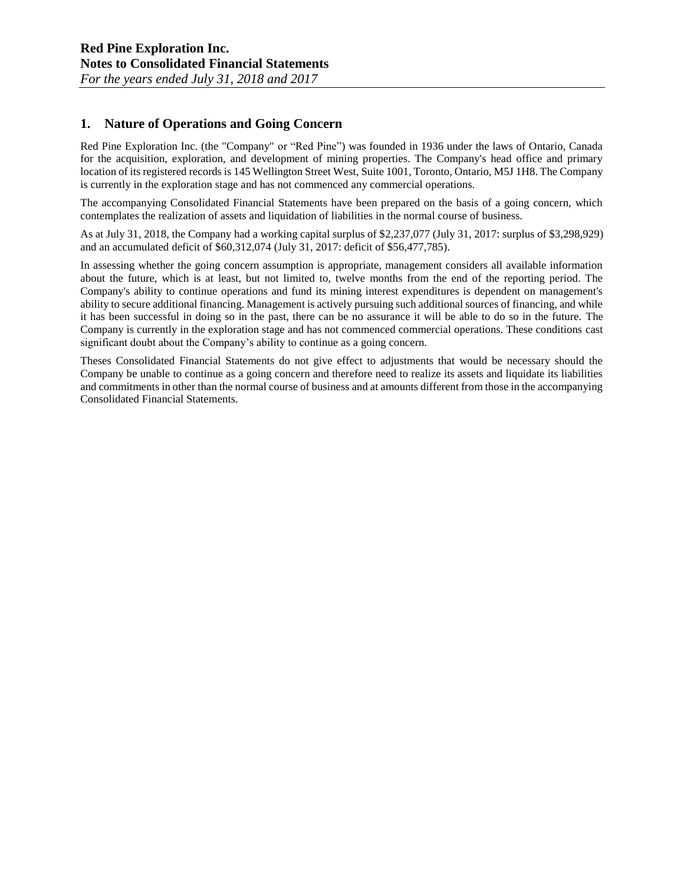# **1. Nature of Operations and Going Concern**

Red Pine Exploration Inc. (the "Company" or "Red Pine") was founded in 1936 under the laws of Ontario, Canada for the acquisition, exploration, and development of mining properties. The Company's head office and primary location of its registered records is 145 Wellington Street West, Suite 1001, Toronto, Ontario, M5J 1H8. The Company is currently in the exploration stage and has not commenced any commercial operations.

The accompanying Consolidated Financial Statements have been prepared on the basis of a going concern, which contemplates the realization of assets and liquidation of liabilities in the normal course of business.

As at July 31, 2018, the Company had a working capital surplus of \$2,237,077 (July 31, 2017: surplus of \$3,298,929) and an accumulated deficit of \$60,312,074 (July 31, 2017: deficit of \$56,477,785).

In assessing whether the going concern assumption is appropriate, management considers all available information about the future, which is at least, but not limited to, twelve months from the end of the reporting period. The Company's ability to continue operations and fund its mining interest expenditures is dependent on management's ability to secure additional financing. Management is actively pursuing such additional sources of financing, and while it has been successful in doing so in the past, there can be no assurance it will be able to do so in the future. The Company is currently in the exploration stage and has not commenced commercial operations. These conditions cast significant doubt about the Company's ability to continue as a going concern.

Theses Consolidated Financial Statements do not give effect to adjustments that would be necessary should the Company be unable to continue as a going concern and therefore need to realize its assets and liquidate its liabilities and commitments in other than the normal course of business and at amounts different from those in the accompanying Consolidated Financial Statements.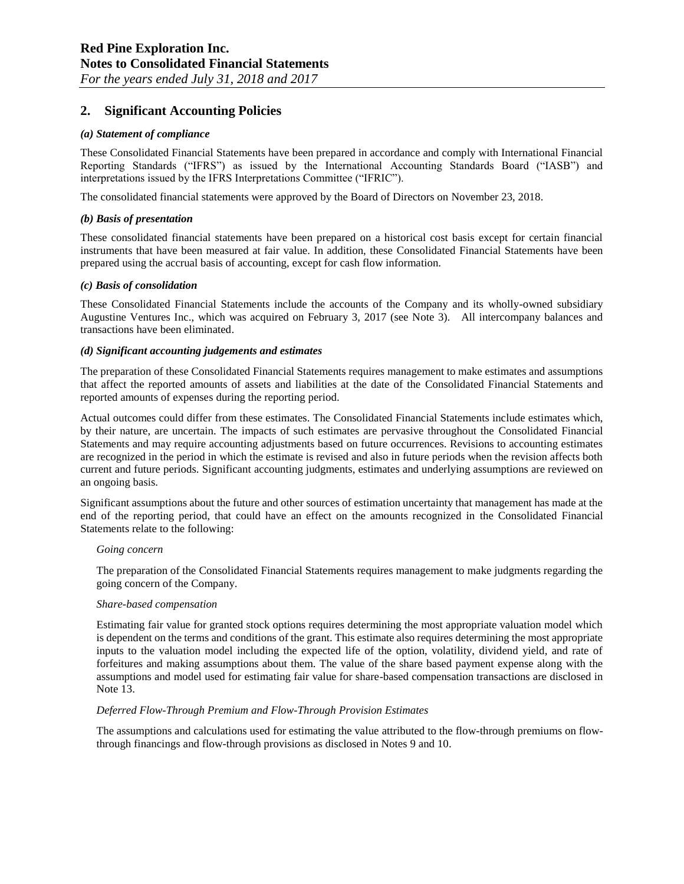# **2. Significant Accounting Policies**

### *(a) Statement of compliance*

These Consolidated Financial Statements have been prepared in accordance and comply with International Financial Reporting Standards ("IFRS") as issued by the International Accounting Standards Board ("IASB") and interpretations issued by the IFRS Interpretations Committee ("IFRIC").

The consolidated financial statements were approved by the Board of Directors on November 23, 2018.

#### *(b) Basis of presentation*

These consolidated financial statements have been prepared on a historical cost basis except for certain financial instruments that have been measured at fair value. In addition, these Consolidated Financial Statements have been prepared using the accrual basis of accounting, except for cash flow information.

### *(c) Basis of consolidation*

These Consolidated Financial Statements include the accounts of the Company and its wholly-owned subsidiary Augustine Ventures Inc., which was acquired on February 3, 2017 (see Note 3). All intercompany balances and transactions have been eliminated.

### *(d) Significant accounting judgements and estimates*

The preparation of these Consolidated Financial Statements requires management to make estimates and assumptions that affect the reported amounts of assets and liabilities at the date of the Consolidated Financial Statements and reported amounts of expenses during the reporting period.

Actual outcomes could differ from these estimates. The Consolidated Financial Statements include estimates which, by their nature, are uncertain. The impacts of such estimates are pervasive throughout the Consolidated Financial Statements and may require accounting adjustments based on future occurrences. Revisions to accounting estimates are recognized in the period in which the estimate is revised and also in future periods when the revision affects both current and future periods. Significant accounting judgments, estimates and underlying assumptions are reviewed on an ongoing basis.

Significant assumptions about the future and other sources of estimation uncertainty that management has made at the end of the reporting period, that could have an effect on the amounts recognized in the Consolidated Financial Statements relate to the following:

#### *Going concern*

The preparation of the Consolidated Financial Statements requires management to make judgments regarding the going concern of the Company.

#### *Share-based compensation*

Estimating fair value for granted stock options requires determining the most appropriate valuation model which is dependent on the terms and conditions of the grant. This estimate also requires determining the most appropriate inputs to the valuation model including the expected life of the option, volatility, dividend yield, and rate of forfeitures and making assumptions about them. The value of the share based payment expense along with the assumptions and model used for estimating fair value for share-based compensation transactions are disclosed in Note 13.

#### *Deferred Flow-Through Premium and Flow-Through Provision Estimates*

The assumptions and calculations used for estimating the value attributed to the flow-through premiums on flowthrough financings and flow-through provisions as disclosed in Notes 9 and 10.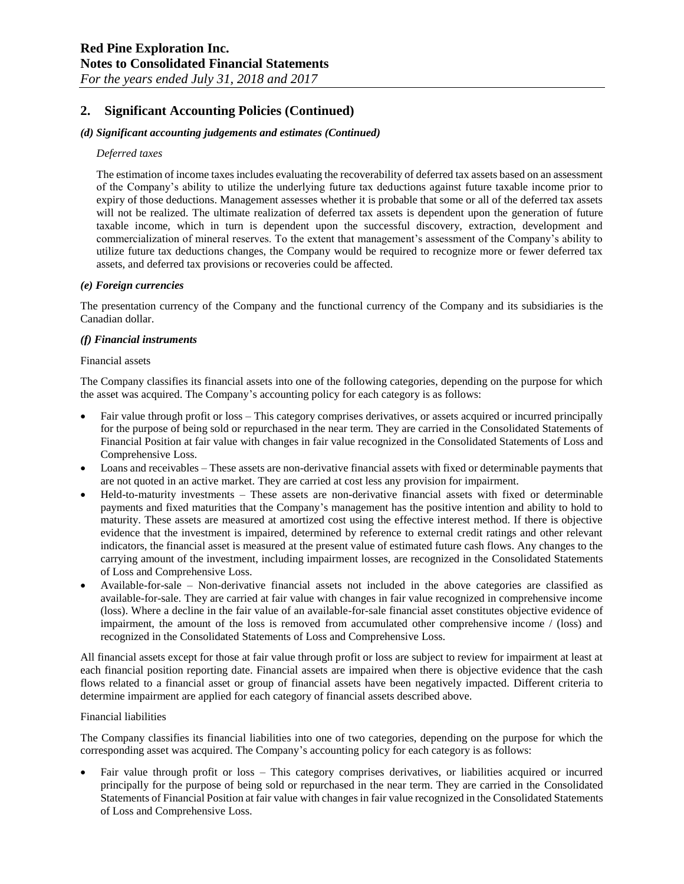### *(d) Significant accounting judgements and estimates (Continued)*

### *Deferred taxes*

The estimation of income taxes includes evaluating the recoverability of deferred tax assets based on an assessment of the Company's ability to utilize the underlying future tax deductions against future taxable income prior to expiry of those deductions. Management assesses whether it is probable that some or all of the deferred tax assets will not be realized. The ultimate realization of deferred tax assets is dependent upon the generation of future taxable income, which in turn is dependent upon the successful discovery, extraction, development and commercialization of mineral reserves. To the extent that management's assessment of the Company's ability to utilize future tax deductions changes, the Company would be required to recognize more or fewer deferred tax assets, and deferred tax provisions or recoveries could be affected.

### *(e) Foreign currencies*

The presentation currency of the Company and the functional currency of the Company and its subsidiaries is the Canadian dollar.

#### *(f) Financial instruments*

#### Financial assets

The Company classifies its financial assets into one of the following categories, depending on the purpose for which the asset was acquired. The Company's accounting policy for each category is as follows:

- Fair value through profit or loss This category comprises derivatives, or assets acquired or incurred principally for the purpose of being sold or repurchased in the near term. They are carried in the Consolidated Statements of Financial Position at fair value with changes in fair value recognized in the Consolidated Statements of Loss and Comprehensive Loss.
- Loans and receivables These assets are non-derivative financial assets with fixed or determinable payments that are not quoted in an active market. They are carried at cost less any provision for impairment.
- Held-to-maturity investments These assets are non-derivative financial assets with fixed or determinable payments and fixed maturities that the Company's management has the positive intention and ability to hold to maturity. These assets are measured at amortized cost using the effective interest method. If there is objective evidence that the investment is impaired, determined by reference to external credit ratings and other relevant indicators, the financial asset is measured at the present value of estimated future cash flows. Any changes to the carrying amount of the investment, including impairment losses, are recognized in the Consolidated Statements of Loss and Comprehensive Loss.
- Available-for-sale Non-derivative financial assets not included in the above categories are classified as available-for-sale. They are carried at fair value with changes in fair value recognized in comprehensive income (loss). Where a decline in the fair value of an available-for-sale financial asset constitutes objective evidence of impairment, the amount of the loss is removed from accumulated other comprehensive income / (loss) and recognized in the Consolidated Statements of Loss and Comprehensive Loss.

All financial assets except for those at fair value through profit or loss are subject to review for impairment at least at each financial position reporting date. Financial assets are impaired when there is objective evidence that the cash flows related to a financial asset or group of financial assets have been negatively impacted. Different criteria to determine impairment are applied for each category of financial assets described above.

#### Financial liabilities

The Company classifies its financial liabilities into one of two categories, depending on the purpose for which the corresponding asset was acquired. The Company's accounting policy for each category is as follows:

• Fair value through profit or loss – This category comprises derivatives, or liabilities acquired or incurred principally for the purpose of being sold or repurchased in the near term. They are carried in the Consolidated Statements of Financial Position at fair value with changes in fair value recognized in the Consolidated Statements of Loss and Comprehensive Loss.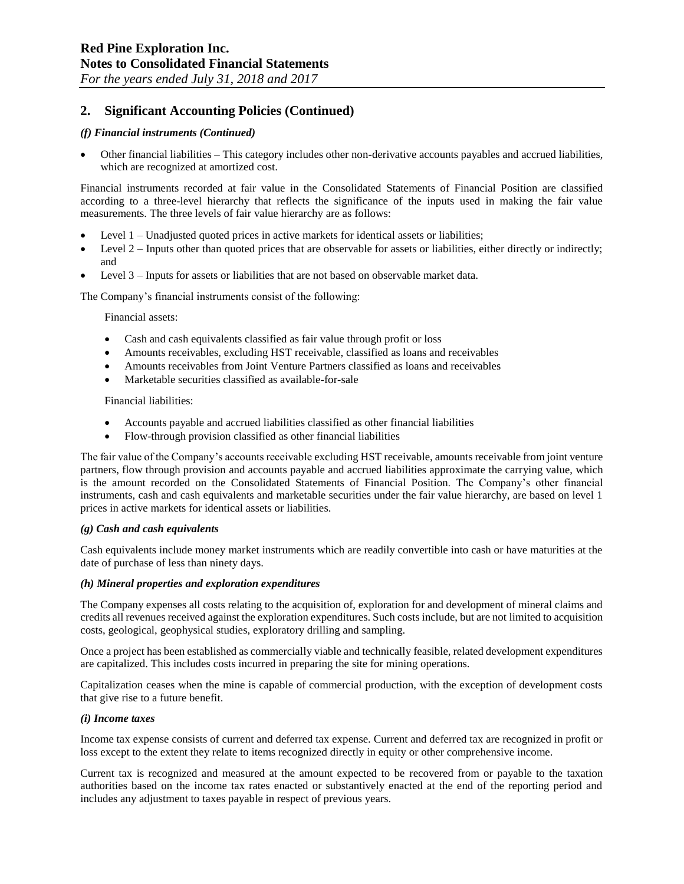### *(f) Financial instruments (Continued)*

• Other financial liabilities – This category includes other non-derivative accounts payables and accrued liabilities, which are recognized at amortized cost.

Financial instruments recorded at fair value in the Consolidated Statements of Financial Position are classified according to a three-level hierarchy that reflects the significance of the inputs used in making the fair value measurements. The three levels of fair value hierarchy are as follows:

- Level 1 Unadjusted quoted prices in active markets for identical assets or liabilities;
- Level 2 Inputs other than quoted prices that are observable for assets or liabilities, either directly or indirectly; and
- Level 3 Inputs for assets or liabilities that are not based on observable market data.

The Company's financial instruments consist of the following:

#### Financial assets:

- Cash and cash equivalents classified as fair value through profit or loss
- Amounts receivables, excluding HST receivable, classified as loans and receivables
- Amounts receivables from Joint Venture Partners classified as loans and receivables
- Marketable securities classified as available-for-sale

### Financial liabilities:

- Accounts payable and accrued liabilities classified as other financial liabilities
- Flow-through provision classified as other financial liabilities

The fair value of the Company's accounts receivable excluding HST receivable, amounts receivable from joint venture partners, flow through provision and accounts payable and accrued liabilities approximate the carrying value, which is the amount recorded on the Consolidated Statements of Financial Position. The Company's other financial instruments, cash and cash equivalents and marketable securities under the fair value hierarchy, are based on level 1 prices in active markets for identical assets or liabilities.

### *(g) Cash and cash equivalents*

Cash equivalents include money market instruments which are readily convertible into cash or have maturities at the date of purchase of less than ninety days.

### *(h) Mineral properties and exploration expenditures*

The Company expenses all costs relating to the acquisition of, exploration for and development of mineral claims and credits all revenues received against the exploration expenditures. Such costs include, but are not limited to acquisition costs, geological, geophysical studies, exploratory drilling and sampling.

Once a project has been established as commercially viable and technically feasible, related development expenditures are capitalized. This includes costs incurred in preparing the site for mining operations.

Capitalization ceases when the mine is capable of commercial production, with the exception of development costs that give rise to a future benefit.

#### *(i) Income taxes*

Income tax expense consists of current and deferred tax expense. Current and deferred tax are recognized in profit or loss except to the extent they relate to items recognized directly in equity or other comprehensive income.

Current tax is recognized and measured at the amount expected to be recovered from or payable to the taxation authorities based on the income tax rates enacted or substantively enacted at the end of the reporting period and includes any adjustment to taxes payable in respect of previous years.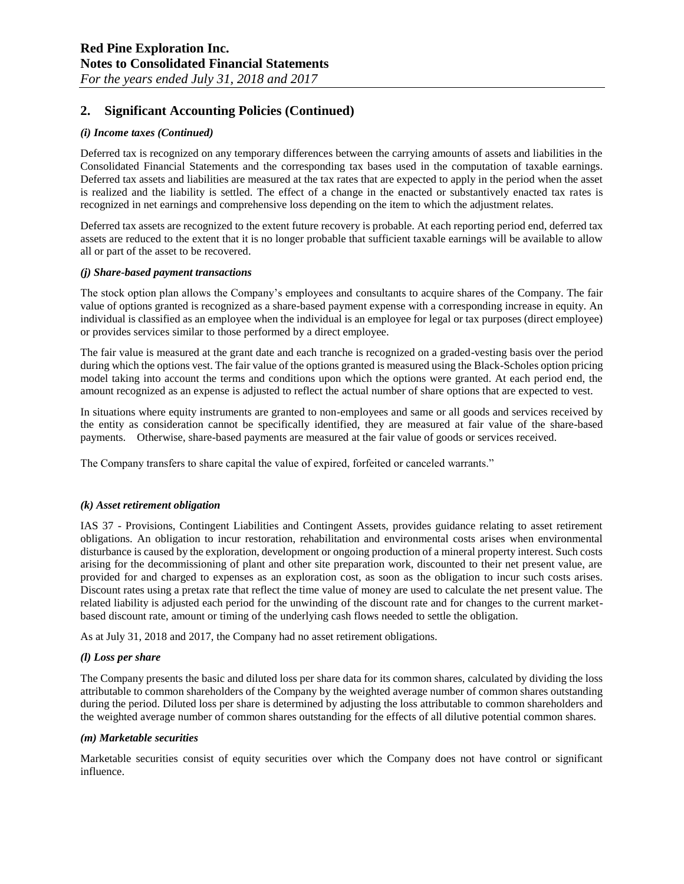### *(i) Income taxes (Continued)*

Deferred tax is recognized on any temporary differences between the carrying amounts of assets and liabilities in the Consolidated Financial Statements and the corresponding tax bases used in the computation of taxable earnings. Deferred tax assets and liabilities are measured at the tax rates that are expected to apply in the period when the asset is realized and the liability is settled. The effect of a change in the enacted or substantively enacted tax rates is recognized in net earnings and comprehensive loss depending on the item to which the adjustment relates.

Deferred tax assets are recognized to the extent future recovery is probable. At each reporting period end, deferred tax assets are reduced to the extent that it is no longer probable that sufficient taxable earnings will be available to allow all or part of the asset to be recovered.

### *(j) Share-based payment transactions*

The stock option plan allows the Company's employees and consultants to acquire shares of the Company. The fair value of options granted is recognized as a share-based payment expense with a corresponding increase in equity. An individual is classified as an employee when the individual is an employee for legal or tax purposes (direct employee) or provides services similar to those performed by a direct employee.

The fair value is measured at the grant date and each tranche is recognized on a graded-vesting basis over the period during which the options vest. The fair value of the options granted is measured using the Black-Scholes option pricing model taking into account the terms and conditions upon which the options were granted. At each period end, the amount recognized as an expense is adjusted to reflect the actual number of share options that are expected to vest.

In situations where equity instruments are granted to non-employees and same or all goods and services received by the entity as consideration cannot be specifically identified, they are measured at fair value of the share-based payments. Otherwise, share-based payments are measured at the fair value of goods or services received.

The Company transfers to share capital the value of expired, forfeited or canceled warrants."

### *(k) Asset retirement obligation*

IAS 37 - Provisions, Contingent Liabilities and Contingent Assets, provides guidance relating to asset retirement obligations. An obligation to incur restoration, rehabilitation and environmental costs arises when environmental disturbance is caused by the exploration, development or ongoing production of a mineral property interest. Such costs arising for the decommissioning of plant and other site preparation work, discounted to their net present value, are provided for and charged to expenses as an exploration cost, as soon as the obligation to incur such costs arises. Discount rates using a pretax rate that reflect the time value of money are used to calculate the net present value. The related liability is adjusted each period for the unwinding of the discount rate and for changes to the current marketbased discount rate, amount or timing of the underlying cash flows needed to settle the obligation.

As at July 31, 2018 and 2017, the Company had no asset retirement obligations.

### *(l) Loss per share*

The Company presents the basic and diluted loss per share data for its common shares, calculated by dividing the loss attributable to common shareholders of the Company by the weighted average number of common shares outstanding during the period. Diluted loss per share is determined by adjusting the loss attributable to common shareholders and the weighted average number of common shares outstanding for the effects of all dilutive potential common shares.

### *(m) Marketable securities*

Marketable securities consist of equity securities over which the Company does not have control or significant influence.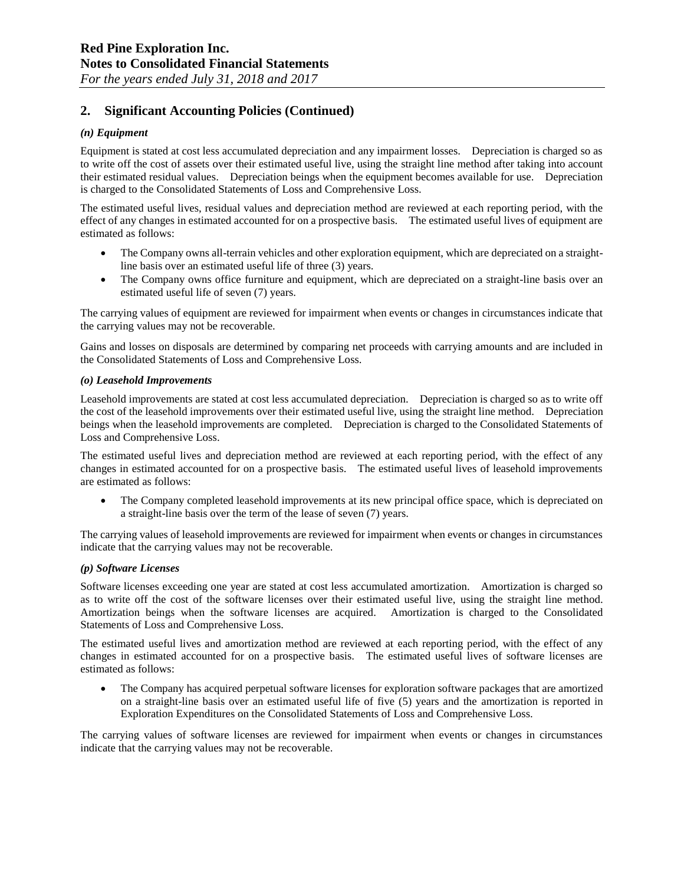### *(n) Equipment*

Equipment is stated at cost less accumulated depreciation and any impairment losses. Depreciation is charged so as to write off the cost of assets over their estimated useful live, using the straight line method after taking into account their estimated residual values. Depreciation beings when the equipment becomes available for use. Depreciation is charged to the Consolidated Statements of Loss and Comprehensive Loss.

The estimated useful lives, residual values and depreciation method are reviewed at each reporting period, with the effect of any changes in estimated accounted for on a prospective basis. The estimated useful lives of equipment are estimated as follows:

- The Company owns all-terrain vehicles and other exploration equipment, which are depreciated on a straightline basis over an estimated useful life of three (3) years.
- The Company owns office furniture and equipment, which are depreciated on a straight-line basis over an estimated useful life of seven (7) years.

The carrying values of equipment are reviewed for impairment when events or changes in circumstances indicate that the carrying values may not be recoverable.

Gains and losses on disposals are determined by comparing net proceeds with carrying amounts and are included in the Consolidated Statements of Loss and Comprehensive Loss.

### *(o) Leasehold Improvements*

Leasehold improvements are stated at cost less accumulated depreciation. Depreciation is charged so as to write off the cost of the leasehold improvements over their estimated useful live, using the straight line method. Depreciation beings when the leasehold improvements are completed. Depreciation is charged to the Consolidated Statements of Loss and Comprehensive Loss.

The estimated useful lives and depreciation method are reviewed at each reporting period, with the effect of any changes in estimated accounted for on a prospective basis. The estimated useful lives of leasehold improvements are estimated as follows:

• The Company completed leasehold improvements at its new principal office space, which is depreciated on a straight-line basis over the term of the lease of seven (7) years.

The carrying values of leasehold improvements are reviewed for impairment when events or changes in circumstances indicate that the carrying values may not be recoverable.

### *(p) Software Licenses*

Software licenses exceeding one year are stated at cost less accumulated amortization. Amortization is charged so as to write off the cost of the software licenses over their estimated useful live, using the straight line method. Amortization beings when the software licenses are acquired. Amortization is charged to the Consolidated Statements of Loss and Comprehensive Loss.

The estimated useful lives and amortization method are reviewed at each reporting period, with the effect of any changes in estimated accounted for on a prospective basis. The estimated useful lives of software licenses are estimated as follows:

• The Company has acquired perpetual software licenses for exploration software packages that are amortized on a straight-line basis over an estimated useful life of five (5) years and the amortization is reported in Exploration Expenditures on the Consolidated Statements of Loss and Comprehensive Loss.

The carrying values of software licenses are reviewed for impairment when events or changes in circumstances indicate that the carrying values may not be recoverable.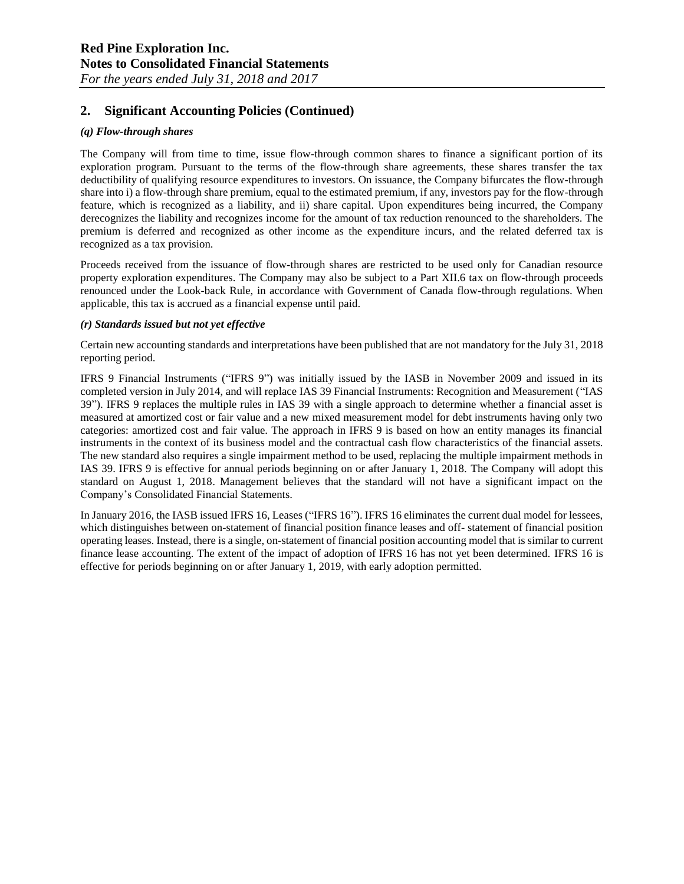### *(q) Flow-through shares*

The Company will from time to time, issue flow-through common shares to finance a significant portion of its exploration program. Pursuant to the terms of the flow-through share agreements, these shares transfer the tax deductibility of qualifying resource expenditures to investors. On issuance, the Company bifurcates the flow-through share into i) a flow-through share premium, equal to the estimated premium, if any, investors pay for the flow-through feature, which is recognized as a liability, and ii) share capital. Upon expenditures being incurred, the Company derecognizes the liability and recognizes income for the amount of tax reduction renounced to the shareholders. The premium is deferred and recognized as other income as the expenditure incurs, and the related deferred tax is recognized as a tax provision.

Proceeds received from the issuance of flow-through shares are restricted to be used only for Canadian resource property exploration expenditures. The Company may also be subject to a Part XII.6 tax on flow-through proceeds renounced under the Look-back Rule, in accordance with Government of Canada flow-through regulations. When applicable, this tax is accrued as a financial expense until paid.

### *(r) Standards issued but not yet effective*

Certain new accounting standards and interpretations have been published that are not mandatory for the July 31, 2018 reporting period.

IFRS 9 Financial Instruments ("IFRS 9") was initially issued by the IASB in November 2009 and issued in its completed version in July 2014, and will replace IAS 39 Financial Instruments: Recognition and Measurement ("IAS 39"). IFRS 9 replaces the multiple rules in IAS 39 with a single approach to determine whether a financial asset is measured at amortized cost or fair value and a new mixed measurement model for debt instruments having only two categories: amortized cost and fair value. The approach in IFRS 9 is based on how an entity manages its financial instruments in the context of its business model and the contractual cash flow characteristics of the financial assets. The new standard also requires a single impairment method to be used, replacing the multiple impairment methods in IAS 39. IFRS 9 is effective for annual periods beginning on or after January 1, 2018. The Company will adopt this standard on August 1, 2018. Management believes that the standard will not have a significant impact on the Company's Consolidated Financial Statements.

In January 2016, the IASB issued IFRS 16, Leases ("IFRS 16"). IFRS 16 eliminates the current dual model for lessees, which distinguishes between on-statement of financial position finance leases and off- statement of financial position operating leases. Instead, there is a single, on-statement of financial position accounting model that is similar to current finance lease accounting. The extent of the impact of adoption of IFRS 16 has not yet been determined. IFRS 16 is effective for periods beginning on or after January 1, 2019, with early adoption permitted.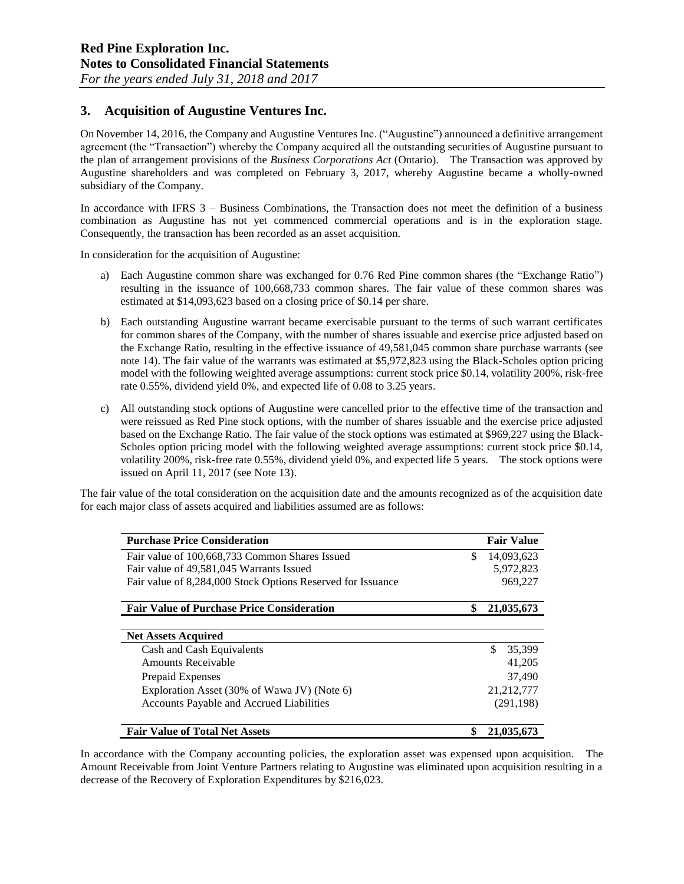# **3. Acquisition of Augustine Ventures Inc.**

On November 14, 2016, the Company and Augustine Ventures Inc. ("Augustine") announced a definitive arrangement agreement (the "Transaction") whereby the Company acquired all the outstanding securities of Augustine pursuant to the plan of arrangement provisions of the *Business Corporations Act* (Ontario). The Transaction was approved by Augustine shareholders and was completed on February 3, 2017, whereby Augustine became a wholly-owned subsidiary of the Company.

In accordance with IFRS 3 – Business Combinations, the Transaction does not meet the definition of a business combination as Augustine has not yet commenced commercial operations and is in the exploration stage. Consequently, the transaction has been recorded as an asset acquisition.

In consideration for the acquisition of Augustine:

- a) Each Augustine common share was exchanged for 0.76 Red Pine common shares (the "Exchange Ratio") resulting in the issuance of 100,668,733 common shares. The fair value of these common shares was estimated at \$14,093,623 based on a closing price of \$0.14 per share.
- b) Each outstanding Augustine warrant became exercisable pursuant to the terms of such warrant certificates for common shares of the Company, with the number of shares issuable and exercise price adjusted based on the Exchange Ratio, resulting in the effective issuance of 49,581,045 common share purchase warrants (see note 14). The fair value of the warrants was estimated at \$5,972,823 using the Black-Scholes option pricing model with the following weighted average assumptions: current stock price \$0.14, volatility 200%, risk-free rate 0.55%, dividend yield 0%, and expected life of 0.08 to 3.25 years.
- c) All outstanding stock options of Augustine were cancelled prior to the effective time of the transaction and were reissued as Red Pine stock options, with the number of shares issuable and the exercise price adjusted based on the Exchange Ratio. The fair value of the stock options was estimated at \$969,227 using the Black-Scholes option pricing model with the following weighted average assumptions: current stock price \$0.14, volatility 200%, risk-free rate 0.55%, dividend yield 0%, and expected life 5 years. The stock options were issued on April 11, 2017 (see Note 13).

The fair value of the total consideration on the acquisition date and the amounts recognized as of the acquisition date for each major class of assets acquired and liabilities assumed are as follows:

| <b>Purchase Price Consideration</b>                         | <b>Fair Value</b> |
|-------------------------------------------------------------|-------------------|
| \$<br>Fair value of 100,668,733 Common Shares Issued        | 14,093,623        |
| Fair value of 49,581,045 Warrants Issued                    | 5,972,823         |
| Fair value of 8,284,000 Stock Options Reserved for Issuance | 969,227           |
|                                                             |                   |
| \$<br><b>Fair Value of Purchase Price Consideration</b>     | 21,035,673        |
|                                                             |                   |
| <b>Net Assets Acquired</b>                                  |                   |
| Cash and Cash Equivalents                                   | \$<br>35,399      |
| Amounts Receivable                                          | 41,205            |
| <b>Prepaid Expenses</b>                                     | 37,490            |
| Exploration Asset (30% of Wawa JV) (Note 6)                 | 21, 212, 777      |
| Accounts Payable and Accrued Liabilities                    | (291, 198)        |
| \$<br><b>Fair Value of Total Net Assets</b>                 | 21,035,673        |

In accordance with the Company accounting policies, the exploration asset was expensed upon acquisition. The Amount Receivable from Joint Venture Partners relating to Augustine was eliminated upon acquisition resulting in a decrease of the Recovery of Exploration Expenditures by \$216,023.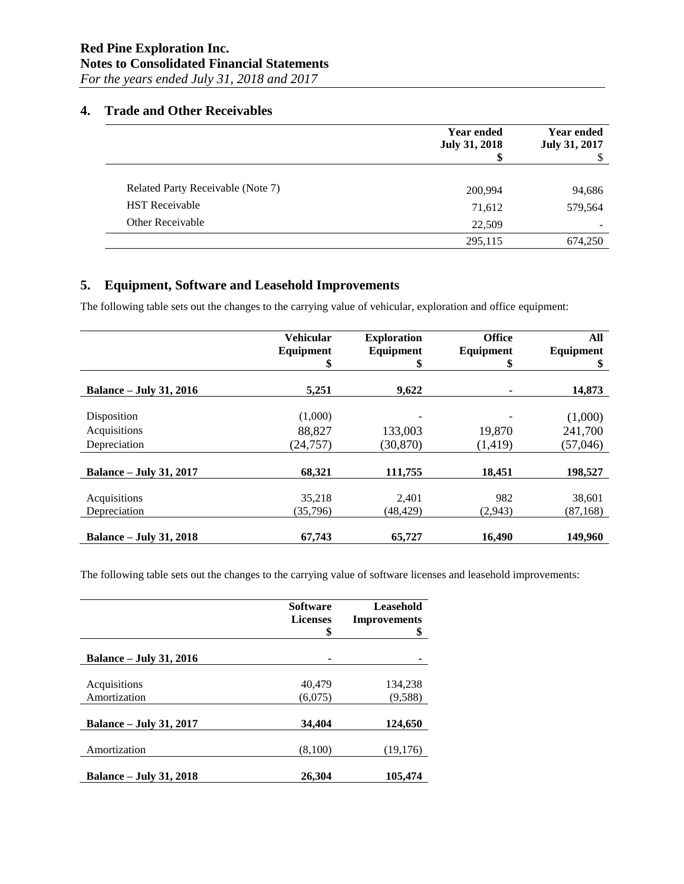# **4. Trade and Other Receivables**

|                                   | <b>Year ended</b><br><b>July 31, 2018</b> | <b>Year ended</b><br><b>July 31, 2017</b> |
|-----------------------------------|-------------------------------------------|-------------------------------------------|
| Related Party Receivable (Note 7) | 200,994                                   | 94,686                                    |
| <b>HST</b> Receivable             | 71,612                                    | 579,564                                   |
| Other Receivable                  | 22,509                                    | -                                         |
|                                   | 295,115                                   | 674,250                                   |

# **5. Equipment, Software and Leasehold Improvements**

The following table sets out the changes to the carrying value of vehicular, exploration and office equipment:

|                                | <b>Vehicular</b><br>Equipment | <b>Exploration</b><br><b>Equipment</b> | <b>Office</b><br>Equipment | All<br>Equipment |
|--------------------------------|-------------------------------|----------------------------------------|----------------------------|------------------|
|                                | \$                            | \$                                     | \$                         | \$               |
| <b>Balance – July 31, 2016</b> | 5.251                         | 9.622                                  |                            | 14,873           |
| Disposition                    | (1,000)                       |                                        |                            | (1,000)          |
| Acquisitions                   | 88,827                        | 133,003                                | 19,870                     | 241,700          |
| Depreciation                   | (24, 757)                     | (30, 870)                              | (1, 419)                   | (57,046)         |
| <b>Balance - July 31, 2017</b> | 68,321                        | 111,755                                | 18.451                     | 198,527          |
| Acquisitions                   | 35,218                        | 2.401                                  | 982                        | 38,601           |
| Depreciation                   | (35,796)                      | (48,429)                               | (2,943)                    | (87, 168)        |
| <b>Balance – July 31, 2018</b> | 67,743                        | 65,727                                 | 16,490                     | 149,960          |

The following table sets out the changes to the carrying value of software licenses and leasehold improvements:

|                                | <b>Software</b><br><b>Licenses</b><br>\$ | Leasehold<br><b>Improvements</b><br>\$ |
|--------------------------------|------------------------------------------|----------------------------------------|
| <b>Balance – July 31, 2016</b> | ۰                                        |                                        |
| Acquisitions                   | 40,479                                   | 134,238                                |
| Amortization                   | (6,075)                                  | (9,588)                                |
| <b>Balance – July 31, 2017</b> | 34,404                                   | 124,650                                |
| Amortization                   | (8,100)                                  | (19,176)                               |
| <b>Balance - July 31, 2018</b> | 26.304                                   | 105,474                                |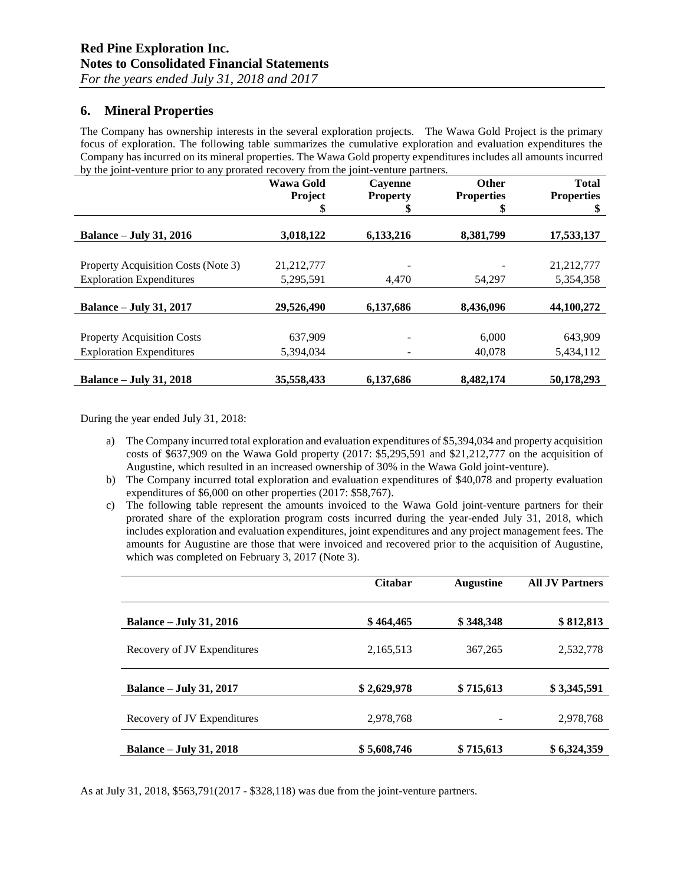# **6. Mineral Properties**

The Company has ownership interests in the several exploration projects. The Wawa Gold Project is the primary focus of exploration. The following table summarizes the cumulative exploration and evaluation expenditures the Company has incurred on its mineral properties. The Wawa Gold property expenditures includes all amounts incurred by the joint-venture prior to any prorated recovery from the joint-venture partners.

|                                     | <b>Wawa Gold</b><br>Project<br>\$ | Cayenne<br><b>Property</b><br>ъ | <b>Other</b><br><b>Properties</b><br>S | <b>Total</b><br><b>Properties</b><br>\$ |
|-------------------------------------|-----------------------------------|---------------------------------|----------------------------------------|-----------------------------------------|
| <b>Balance – July 31, 2016</b>      | 3,018,122                         | 6,133,216                       | 8,381,799                              | 17,533,137                              |
|                                     |                                   |                                 |                                        |                                         |
| Property Acquisition Costs (Note 3) | 21,212,777                        |                                 |                                        | 21, 212, 777                            |
| <b>Exploration Expenditures</b>     | 5,295,591                         | 4.470                           | 54,297                                 | 5.354.358                               |
|                                     |                                   |                                 |                                        |                                         |
| <b>Balance – July 31, 2017</b>      | 29,526,490                        | 6,137,686                       | 8.436.096                              | 44,100,272                              |
|                                     |                                   |                                 |                                        |                                         |
| <b>Property Acquisition Costs</b>   | 637,909                           |                                 | 6,000                                  | 643,909                                 |
| <b>Exploration Expenditures</b>     | 5,394,034                         |                                 | 40,078                                 | 5,434,112                               |
| <b>Balance – July 31, 2018</b>      | 35,558,433                        | 6.137.686                       | 8.482,174                              | 50,178,293                              |

During the year ended July 31, 2018:

- a) The Company incurred total exploration and evaluation expenditures of \$5,394,034 and property acquisition costs of \$637,909 on the Wawa Gold property (2017: \$5,295,591 and \$21,212,777 on the acquisition of Augustine, which resulted in an increased ownership of 30% in the Wawa Gold joint-venture).
- b) The Company incurred total exploration and evaluation expenditures of \$40,078 and property evaluation expenditures of \$6,000 on other properties (2017: \$58,767).
- c) The following table represent the amounts invoiced to the Wawa Gold joint-venture partners for their prorated share of the exploration program costs incurred during the year-ended July 31, 2018, which includes exploration and evaluation expenditures, joint expenditures and any project management fees. The amounts for Augustine are those that were invoiced and recovered prior to the acquisition of Augustine, which was completed on February 3, 2017 (Note 3).

|                                | <b>Citabar</b> | <b>Augustine</b> | <b>All JV Partners</b> |
|--------------------------------|----------------|------------------|------------------------|
| <b>Balance – July 31, 2016</b> | \$464,465      | \$348,348        | \$812,813              |
| Recovery of JV Expenditures    | 2,165,513      | 367,265          | 2,532,778              |
| <b>Balance – July 31, 2017</b> | \$2,629,978    | \$715,613        | \$3,345,591            |
| Recovery of JV Expenditures    | 2,978,768      |                  | 2,978,768              |
| <b>Balance – July 31, 2018</b> | \$5,608,746    | \$715,613        | \$6.324.359            |

As at July 31, 2018, \$563,791(2017 - \$328,118) was due from the joint-venture partners.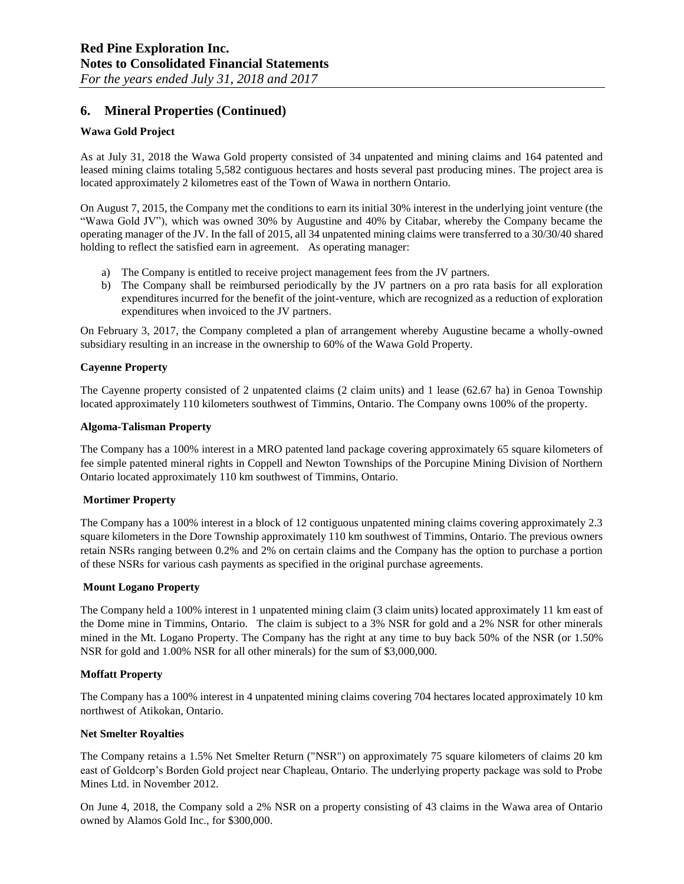# **6. Mineral Properties (Continued)**

### **Wawa Gold Project**

As at July 31, 2018 the Wawa Gold property consisted of 34 unpatented and mining claims and 164 patented and leased mining claims totaling 5,582 contiguous hectares and hosts several past producing mines. The project area is located approximately 2 kilometres east of the Town of Wawa in northern Ontario.

On August 7, 2015, the Company met the conditions to earn its initial 30% interest in the underlying joint venture (the "Wawa Gold JV"), which was owned 30% by Augustine and 40% by Citabar, whereby the Company became the operating manager of the JV. In the fall of 2015, all 34 unpatented mining claims were transferred to a 30/30/40 shared holding to reflect the satisfied earn in agreement. As operating manager:

- a) The Company is entitled to receive project management fees from the JV partners.
- b) The Company shall be reimbursed periodically by the JV partners on a pro rata basis for all exploration expenditures incurred for the benefit of the joint-venture, which are recognized as a reduction of exploration expenditures when invoiced to the JV partners.

On February 3, 2017, the Company completed a plan of arrangement whereby Augustine became a wholly-owned subsidiary resulting in an increase in the ownership to 60% of the Wawa Gold Property.

### **Cayenne Property**

The Cayenne property consisted of 2 unpatented claims (2 claim units) and 1 lease (62.67 ha) in Genoa Township located approximately 110 kilometers southwest of Timmins, Ontario. The Company owns 100% of the property.

### **Algoma-Talisman Property**

The Company has a 100% interest in a MRO patented land package covering approximately 65 square kilometers of fee simple patented mineral rights in Coppell and Newton Townships of the Porcupine Mining Division of Northern Ontario located approximately 110 km southwest of Timmins, Ontario.

### **Mortimer Property**

The Company has a 100% interest in a block of 12 contiguous unpatented mining claims covering approximately 2.3 square kilometers in the Dore Township approximately 110 km southwest of Timmins, Ontario. The previous owners retain NSRs ranging between 0.2% and 2% on certain claims and the Company has the option to purchase a portion of these NSRs for various cash payments as specified in the original purchase agreements.

### **Mount Logano Property**

The Company held a 100% interest in 1 unpatented mining claim (3 claim units) located approximately 11 km east of the Dome mine in Timmins, Ontario. The claim is subject to a 3% NSR for gold and a 2% NSR for other minerals mined in the Mt. Logano Property. The Company has the right at any time to buy back 50% of the NSR (or 1.50% NSR for gold and 1.00% NSR for all other minerals) for the sum of \$3,000,000.

### **Moffatt Property**

The Company has a 100% interest in 4 unpatented mining claims covering 704 hectares located approximately 10 km northwest of Atikokan, Ontario.

### **Net Smelter Royalties**

The Company retains a 1.5% Net Smelter Return ("NSR") on approximately 75 square kilometers of claims 20 km east of Goldcorp's Borden Gold project near Chapleau, Ontario. The underlying property package was sold to Probe Mines Ltd. in November 2012.

On June 4, 2018, the Company sold a 2% NSR on a property consisting of 43 claims in the Wawa area of Ontario owned by Alamos Gold Inc., for \$300,000.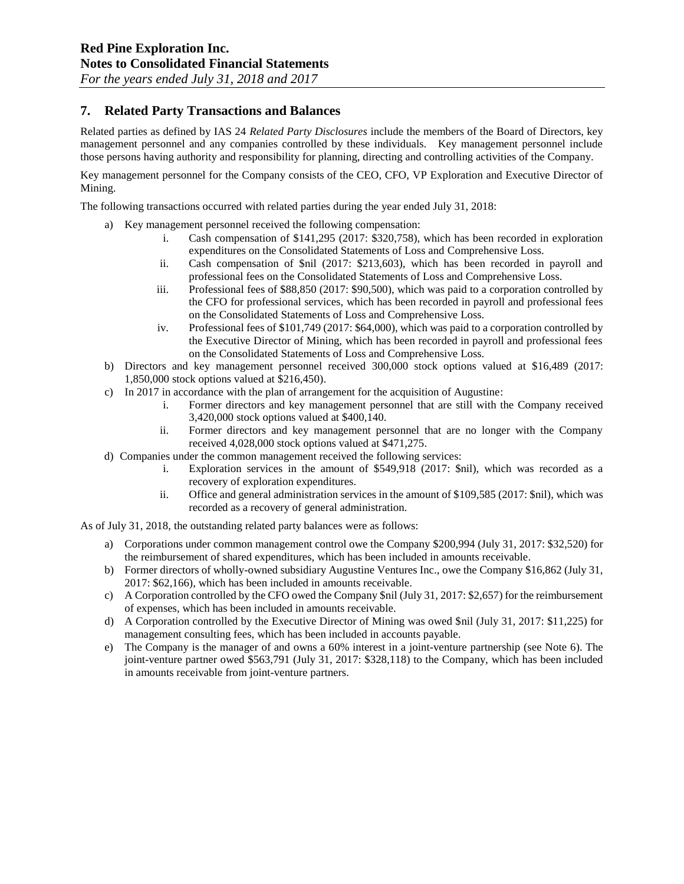# **7. Related Party Transactions and Balances**

Related parties as defined by IAS 24 *Related Party Disclosures* include the members of the Board of Directors, key management personnel and any companies controlled by these individuals. Key management personnel include those persons having authority and responsibility for planning, directing and controlling activities of the Company.

Key management personnel for the Company consists of the CEO, CFO, VP Exploration and Executive Director of Mining.

The following transactions occurred with related parties during the year ended July 31, 2018:

- a) Key management personnel received the following compensation:
	- i. Cash compensation of \$141,295 (2017: \$320,758), which has been recorded in exploration expenditures on the Consolidated Statements of Loss and Comprehensive Loss.
	- ii. Cash compensation of \$nil (2017: \$213,603), which has been recorded in payroll and professional fees on the Consolidated Statements of Loss and Comprehensive Loss.
	- iii. Professional fees of \$88,850 (2017: \$90,500), which was paid to a corporation controlled by the CFO for professional services, which has been recorded in payroll and professional fees on the Consolidated Statements of Loss and Comprehensive Loss.
	- iv. Professional fees of \$101,749 (2017: \$64,000), which was paid to a corporation controlled by the Executive Director of Mining, which has been recorded in payroll and professional fees on the Consolidated Statements of Loss and Comprehensive Loss.
- b) Directors and key management personnel received 300,000 stock options valued at \$16,489 (2017: 1,850,000 stock options valued at \$216,450).
- c) In 2017 in accordance with the plan of arrangement for the acquisition of Augustine:
	- i. Former directors and key management personnel that are still with the Company received 3,420,000 stock options valued at \$400,140.
	- ii. Former directors and key management personnel that are no longer with the Company received 4,028,000 stock options valued at \$471,275.
- d) Companies under the common management received the following services:
	- i. Exploration services in the amount of \$549,918 (2017: \$nil), which was recorded as a recovery of exploration expenditures.
	- ii. Office and general administration services in the amount of \$109,585 (2017: \$nil), which was recorded as a recovery of general administration.

As of July 31, 2018, the outstanding related party balances were as follows:

- a) Corporations under common management control owe the Company \$200,994 (July 31, 2017: \$32,520) for the reimbursement of shared expenditures, which has been included in amounts receivable.
- b) Former directors of wholly-owned subsidiary Augustine Ventures Inc., owe the Company \$16,862 (July 31, 2017: \$62,166), which has been included in amounts receivable.
- c) A Corporation controlled by the CFO owed the Company \$nil (July 31, 2017: \$2,657) for the reimbursement of expenses, which has been included in amounts receivable.
- d) A Corporation controlled by the Executive Director of Mining was owed \$nil (July 31, 2017: \$11,225) for management consulting fees, which has been included in accounts payable.
- e) The Company is the manager of and owns a 60% interest in a joint-venture partnership (see Note 6). The joint-venture partner owed \$563,791 (July 31, 2017: \$328,118) to the Company, which has been included in amounts receivable from joint-venture partners.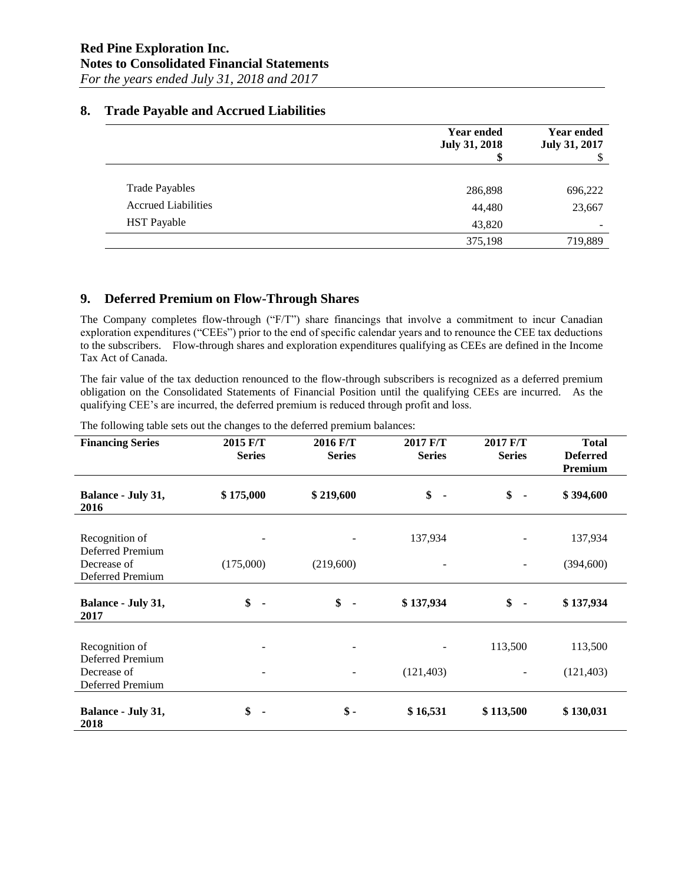### **8. Trade Payable and Accrued Liabilities**

|                            | <b>Year ended</b><br><b>July 31, 2018</b> | <b>Year ended</b><br><b>July 31, 2017</b> |
|----------------------------|-------------------------------------------|-------------------------------------------|
|                            |                                           |                                           |
| <b>Trade Payables</b>      | 286,898                                   | 696,222                                   |
| <b>Accrued Liabilities</b> | 44,480                                    | 23,667                                    |
| <b>HST</b> Payable         | 43,820                                    |                                           |
|                            | 375,198                                   | 719,889                                   |

### **9. Deferred Premium on Flow-Through Shares**

The Company completes flow-through ("F/T") share financings that involve a commitment to incur Canadian exploration expenditures ("CEEs") prior to the end of specific calendar years and to renounce the CEE tax deductions to the subscribers. Flow-through shares and exploration expenditures qualifying as CEEs are defined in the Income Tax Act of Canada.

The fair value of the tax deduction renounced to the flow-through subscribers is recognized as a deferred premium obligation on the Consolidated Statements of Financial Position until the qualifying CEEs are incurred. As the qualifying CEE's are incurred, the deferred premium is reduced through profit and loss.

| <b>Financing Series</b>                   | 2015 F/T<br><b>Series</b> | 2016 F/T<br><b>Series</b> | 2017 F/T<br><b>Series</b> | 2017 F/T<br><b>Series</b>      | <b>Total</b><br><b>Deferred</b><br>Premium |
|-------------------------------------------|---------------------------|---------------------------|---------------------------|--------------------------------|--------------------------------------------|
| Balance - July 31,<br>2016                | \$175,000                 | \$219,600                 | \$<br>$\sim$              | \$<br>$\overline{\phantom{a}}$ | \$394,600                                  |
| Recognition of<br>Deferred Premium        |                           |                           | 137,934                   |                                | 137,934                                    |
| Decrease of<br>Deferred Premium           | (175,000)                 | (219,600)                 |                           |                                | (394, 600)                                 |
| Balance - July 31,<br>2017                | \$<br>$\blacksquare$      | \$                        | \$137,934                 | \$<br>$\sim$                   | \$137,934                                  |
| Recognition of<br><b>Deferred Premium</b> |                           |                           |                           | 113,500                        | 113,500                                    |
| Decrease of<br>Deferred Premium           | -                         |                           | (121, 403)                |                                | (121, 403)                                 |
| Balance - July 31,<br>2018                | \$<br>$\blacksquare$      | $\$ -                     | \$16,531                  | \$113,500                      | \$130,031                                  |

The following table sets out the changes to the deferred premium balances: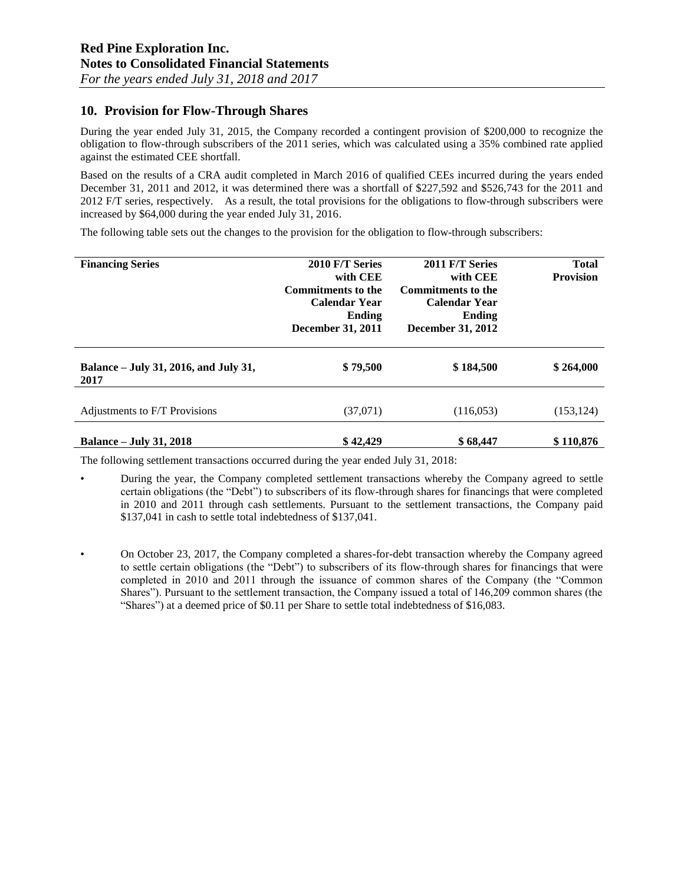# **10. Provision for Flow-Through Shares**

During the year ended July 31, 2015, the Company recorded a contingent provision of \$200,000 to recognize the obligation to flow-through subscribers of the 2011 series, which was calculated using a 35% combined rate applied against the estimated CEE shortfall.

Based on the results of a CRA audit completed in March 2016 of qualified CEEs incurred during the years ended December 31, 2011 and 2012, it was determined there was a shortfall of \$227,592 and \$526,743 for the 2011 and 2012 F/T series, respectively. As a result, the total provisions for the obligations to flow-through subscribers were increased by \$64,000 during the year ended July 31, 2016.

The following table sets out the changes to the provision for the obligation to flow-through subscribers:

| <b>Financing Series</b>                       | 2010 F/T Series<br>with CEE<br><b>Commitments to the</b><br><b>Calendar Year</b><br>Ending<br>December 31, 2011 | 2011 F/T Series<br>with CEE<br><b>Commitments to the</b><br><b>Calendar Year</b><br>Ending<br><b>December 31, 2012</b> | <b>Total</b><br><b>Provision</b> |
|-----------------------------------------------|-----------------------------------------------------------------------------------------------------------------|------------------------------------------------------------------------------------------------------------------------|----------------------------------|
| Balance – July 31, 2016, and July 31,<br>2017 | \$79,500                                                                                                        | \$184,500                                                                                                              | \$264,000                        |
| Adjustments to F/T Provisions                 | (37,071)                                                                                                        | (116, 053)                                                                                                             | (153, 124)                       |
| <b>Balance – July 31, 2018</b>                | \$42.429                                                                                                        | \$68,447                                                                                                               | \$110,876                        |

The following settlement transactions occurred during the year ended July 31, 2018:

• During the year, the Company completed settlement transactions whereby the Company agreed to settle certain obligations (the "Debt") to subscribers of its flow-through shares for financings that were completed in 2010 and 2011 through cash settlements. Pursuant to the settlement transactions, the Company paid \$137,041 in cash to settle total indebtedness of \$137,041.

• On October 23, 2017, the Company completed a shares-for-debt transaction whereby the Company agreed to settle certain obligations (the "Debt") to subscribers of its flow-through shares for financings that were completed in 2010 and 2011 through the issuance of common shares of the Company (the "Common Shares"). Pursuant to the settlement transaction, the Company issued a total of 146,209 common shares (the "Shares") at a deemed price of \$0.11 per Share to settle total indebtedness of \$16,083.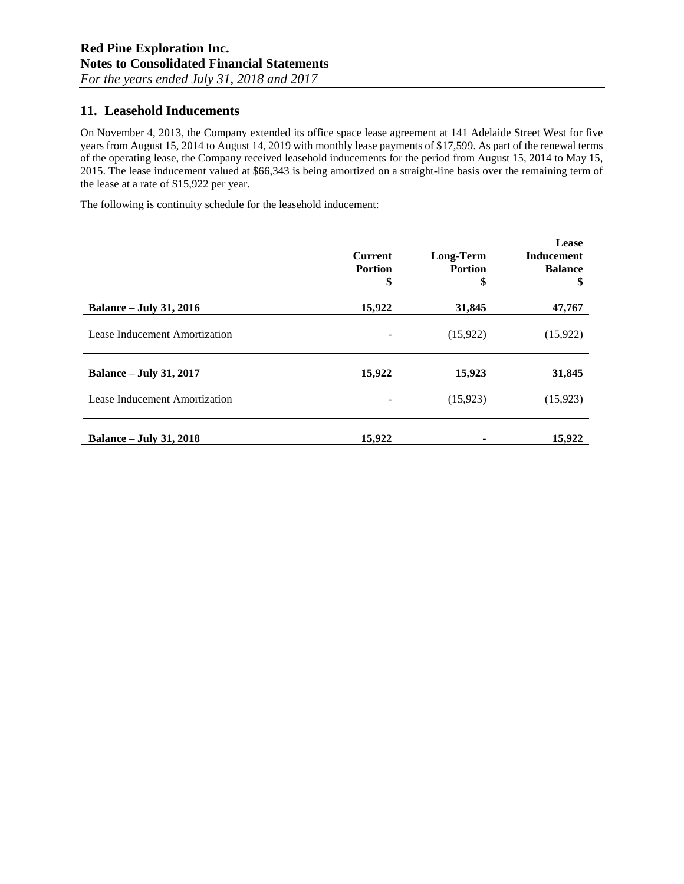# **11. Leasehold Inducements**

On November 4, 2013, the Company extended its office space lease agreement at 141 Adelaide Street West for five years from August 15, 2014 to August 14, 2019 with monthly lease payments of \$17,599. As part of the renewal terms of the operating lease, the Company received leasehold inducements for the period from August 15, 2014 to May 15, 2015. The lease inducement valued at \$66,343 is being amortized on a straight-line basis over the remaining term of the lease at a rate of \$15,922 per year.

The following is continuity schedule for the leasehold inducement:

|                                | <b>Current</b><br><b>Portion</b><br>\$ | Long-Term<br><b>Portion</b><br>\$ | Lease<br><b>Inducement</b><br><b>Balance</b><br>\$ |
|--------------------------------|----------------------------------------|-----------------------------------|----------------------------------------------------|
| <b>Balance – July 31, 2016</b> | 15,922                                 | 31,845                            | 47,767                                             |
| Lease Inducement Amortization  |                                        | (15,922)                          | (15,922)                                           |
| <b>Balance – July 31, 2017</b> | 15,922                                 | 15,923                            | 31,845                                             |
| Lease Inducement Amortization  |                                        | (15, 923)                         | (15, 923)                                          |
| <b>Balance – July 31, 2018</b> | 15,922                                 |                                   | 15,922                                             |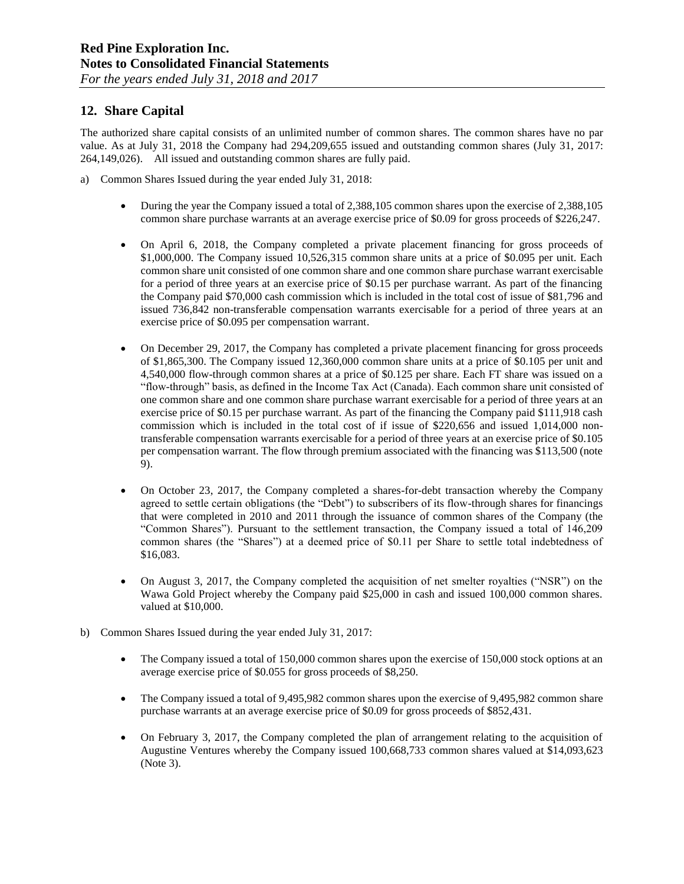# **12. Share Capital**

The authorized share capital consists of an unlimited number of common shares. The common shares have no par value. As at July 31, 2018 the Company had 294,209,655 issued and outstanding common shares (July 31, 2017: 264,149,026). All issued and outstanding common shares are fully paid.

- a) Common Shares Issued during the year ended July 31, 2018:
	- During the year the Company issued a total of 2,388,105 common shares upon the exercise of 2,388,105 common share purchase warrants at an average exercise price of \$0.09 for gross proceeds of \$226,247.
	- On April 6, 2018, the Company completed a private placement financing for gross proceeds of \$1,000,000. The Company issued 10,526,315 common share units at a price of \$0.095 per unit. Each common share unit consisted of one common share and one common share purchase warrant exercisable for a period of three years at an exercise price of \$0.15 per purchase warrant. As part of the financing the Company paid \$70,000 cash commission which is included in the total cost of issue of \$81,796 and issued 736,842 non-transferable compensation warrants exercisable for a period of three years at an exercise price of \$0.095 per compensation warrant.
	- On December 29, 2017, the Company has completed a private placement financing for gross proceeds of \$1,865,300. The Company issued 12,360,000 common share units at a price of \$0.105 per unit and 4,540,000 flow-through common shares at a price of \$0.125 per share. Each FT share was issued on a "flow-through" basis, as defined in the Income Tax Act (Canada). Each common share unit consisted of one common share and one common share purchase warrant exercisable for a period of three years at an exercise price of \$0.15 per purchase warrant. As part of the financing the Company paid \$111,918 cash commission which is included in the total cost of if issue of \$220,656 and issued 1,014,000 nontransferable compensation warrants exercisable for a period of three years at an exercise price of \$0.105 per compensation warrant. The flow through premium associated with the financing was \$113,500 (note 9).
	- On October 23, 2017, the Company completed a shares-for-debt transaction whereby the Company agreed to settle certain obligations (the "Debt") to subscribers of its flow-through shares for financings that were completed in 2010 and 2011 through the issuance of common shares of the Company (the "Common Shares"). Pursuant to the settlement transaction, the Company issued a total of 146,209 common shares (the "Shares") at a deemed price of \$0.11 per Share to settle total indebtedness of \$16,083.
	- On August 3, 2017, the Company completed the acquisition of net smelter royalties ("NSR") on the Wawa Gold Project whereby the Company paid \$25,000 in cash and issued 100,000 common shares. valued at \$10,000.
- b) Common Shares Issued during the year ended July 31, 2017:
	- The Company issued a total of 150,000 common shares upon the exercise of 150,000 stock options at an average exercise price of \$0.055 for gross proceeds of \$8,250.
	- The Company issued a total of 9,495,982 common shares upon the exercise of 9,495,982 common share purchase warrants at an average exercise price of \$0.09 for gross proceeds of \$852,431.
	- On February 3, 2017, the Company completed the plan of arrangement relating to the acquisition of Augustine Ventures whereby the Company issued 100,668,733 common shares valued at \$14,093,623 (Note 3).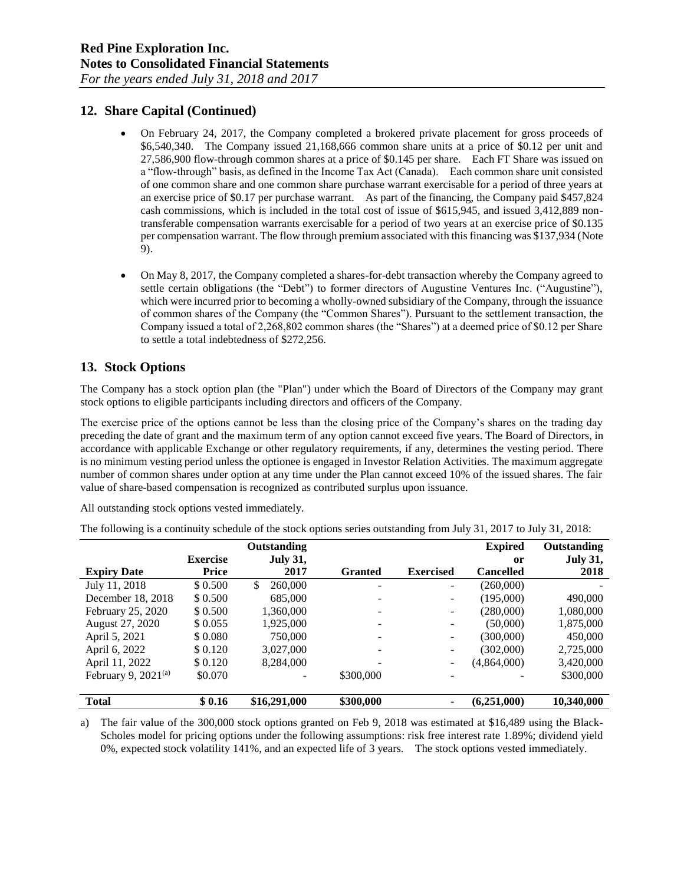# **12. Share Capital (Continued)**

- On February 24, 2017, the Company completed a brokered private placement for gross proceeds of \$6,540,340. The Company issued 21,168,666 common share units at a price of \$0.12 per unit and 27,586,900 flow-through common shares at a price of \$0.145 per share. Each FT Share was issued on a "flow-through" basis, as defined in the Income Tax Act (Canada). Each common share unit consisted of one common share and one common share purchase warrant exercisable for a period of three years at an exercise price of \$0.17 per purchase warrant. As part of the financing, the Company paid \$457,824 cash commissions, which is included in the total cost of issue of \$615,945, and issued 3,412,889 nontransferable compensation warrants exercisable for a period of two years at an exercise price of \$0.135 per compensation warrant. The flow through premium associated with this financing was \$137,934 (Note 9).
- On May 8, 2017, the Company completed a shares-for-debt transaction whereby the Company agreed to settle certain obligations (the "Debt") to former directors of Augustine Ventures Inc. ("Augustine"), which were incurred prior to becoming a wholly-owned subsidiary of the Company, through the issuance of common shares of the Company (the "Common Shares"). Pursuant to the settlement transaction, the Company issued a total of 2,268,802 common shares (the "Shares") at a deemed price of \$0.12 per Share to settle a total indebtedness of \$272,256.

# **13. Stock Options**

The Company has a stock option plan (the "Plan") under which the Board of Directors of the Company may grant stock options to eligible participants including directors and officers of the Company.

The exercise price of the options cannot be less than the closing price of the Company's shares on the trading day preceding the date of grant and the maximum term of any option cannot exceed five years. The Board of Directors, in accordance with applicable Exchange or other regulatory requirements, if any, determines the vesting period. There is no minimum vesting period unless the optionee is engaged in Investor Relation Activities. The maximum aggregate number of common shares under option at any time under the Plan cannot exceed 10% of the issued shares. The fair value of share-based compensation is recognized as contributed surplus upon issuance.

All outstanding stock options vested immediately.

|                          |                 | Outstanding     |                          |                          | <b>Expired</b>   | Outstanding     |
|--------------------------|-----------------|-----------------|--------------------------|--------------------------|------------------|-----------------|
|                          | <b>Exercise</b> | <b>July 31,</b> |                          |                          | <sub>or</sub>    | <b>July 31,</b> |
| <b>Expiry Date</b>       | Price           | 2017            | <b>Granted</b>           | <b>Exercised</b>         | <b>Cancelled</b> | 2018            |
| July 11, 2018            | \$0.500         | \$<br>260,000   |                          | $\overline{\phantom{a}}$ | (260,000)        |                 |
| December 18, 2018        | \$ 0.500        | 685,000         | -                        | $\overline{\phantom{a}}$ | (195,000)        | 490,000         |
| February 25, 2020        | \$ 0.500        | 1,360,000       |                          | $\overline{\phantom{a}}$ | (280,000)        | 1,080,000       |
| August 27, 2020          | \$0.055         | 1,925,000       | $\overline{\phantom{a}}$ | $\overline{\phantom{a}}$ | (50,000)         | 1,875,000       |
| April 5, 2021            | \$0.080         | 750,000         |                          |                          | (300,000)        | 450,000         |
| April 6, 2022            | \$ 0.120        | 3,027,000       |                          | $\overline{\phantom{a}}$ | (302,000)        | 2,725,000       |
| April 11, 2022           | \$0.120         | 8,284,000       |                          | $\overline{\phantom{a}}$ | (4,864,000)      | 3,420,000       |
| February 9, $2021^{(a)}$ | \$0.070         |                 | \$300,000                |                          |                  | \$300,000       |
| <b>Total</b>             | \$0.16          | \$16,291,000    | \$300,000                | ۰                        | (6,251,000)      | 10,340,000      |

The following is a continuity schedule of the stock options series outstanding from July 31, 2017 to July 31, 2018:

a) The fair value of the 300,000 stock options granted on Feb 9, 2018 was estimated at \$16,489 using the Black-Scholes model for pricing options under the following assumptions: risk free interest rate 1.89%; dividend yield 0%, expected stock volatility 141%, and an expected life of 3 years. The stock options vested immediately.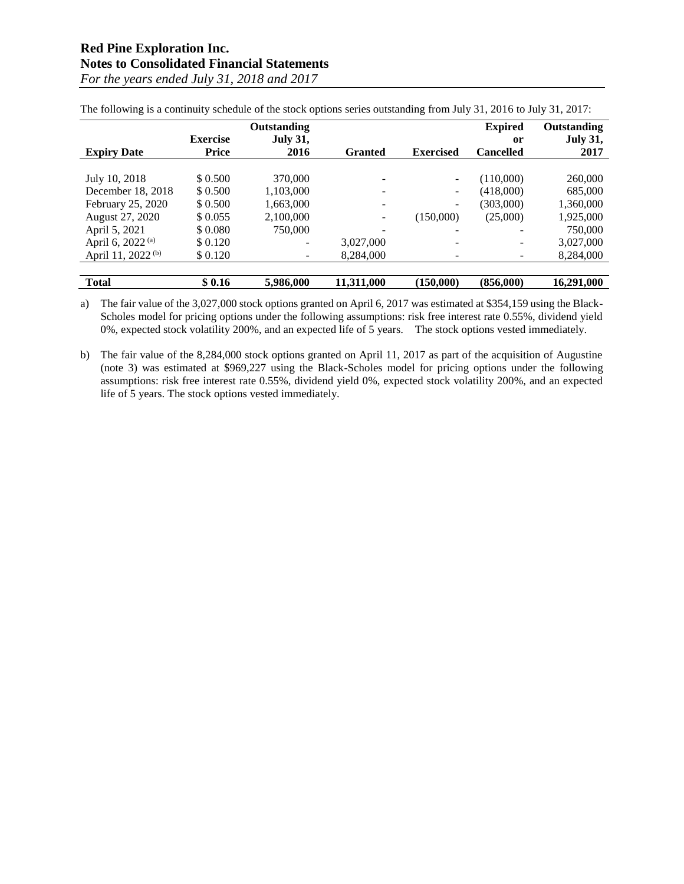|                               |                 | <b>Outstanding</b> |                |                  | <b>Expired</b>           | Outstanding     |
|-------------------------------|-----------------|--------------------|----------------|------------------|--------------------------|-----------------|
|                               | <b>Exercise</b> | <b>July 31,</b>    |                |                  | <sub>or</sub>            | <b>July 31,</b> |
| <b>Expiry Date</b>            | <b>Price</b>    | 2016               | <b>Granted</b> | <b>Exercised</b> | <b>Cancelled</b>         | 2017            |
|                               |                 |                    |                |                  |                          |                 |
| July 10, 2018                 | \$ 0.500        | 370,000            |                | -                | (110,000)                | 260,000         |
| December 18, 2018             | \$ 0.500        | 1,103,000          |                | -                | (418,000)                | 685,000         |
| February 25, 2020             | \$ 0.500        | 1,663,000          | ۰              | ۰                | (303,000)                | 1,360,000       |
| August 27, 2020               | \$ 0.055        | 2,100,000          |                | (150,000)        | (25,000)                 | 1,925,000       |
| April 5, 2021                 | \$0.080         | 750,000            |                |                  |                          | 750,000         |
| April 6, 2022 <sup>(a)</sup>  | \$ 0.120        | -                  | 3,027,000      | ۰                | $\overline{\phantom{a}}$ | 3,027,000       |
| April 11, 2022 <sup>(b)</sup> | \$0.120         | -                  | 8,284,000      |                  | $\overline{\phantom{a}}$ | 8,284,000       |
|                               |                 |                    |                |                  |                          |                 |
| <b>Total</b>                  | \$0.16          | 5,986,000          | 11,311,000     | (150.000)        | (856,000)                | 16,291,000      |

The following is a continuity schedule of the stock options series outstanding from July 31, 2016 to July 31, 2017:

a) The fair value of the 3,027,000 stock options granted on April 6, 2017 was estimated at \$354,159 using the Black-Scholes model for pricing options under the following assumptions: risk free interest rate 0.55%, dividend yield 0%, expected stock volatility 200%, and an expected life of 5 years. The stock options vested immediately.

b) The fair value of the 8,284,000 stock options granted on April 11, 2017 as part of the acquisition of Augustine (note 3) was estimated at \$969,227 using the Black-Scholes model for pricing options under the following assumptions: risk free interest rate 0.55%, dividend yield 0%, expected stock volatility 200%, and an expected life of 5 years. The stock options vested immediately.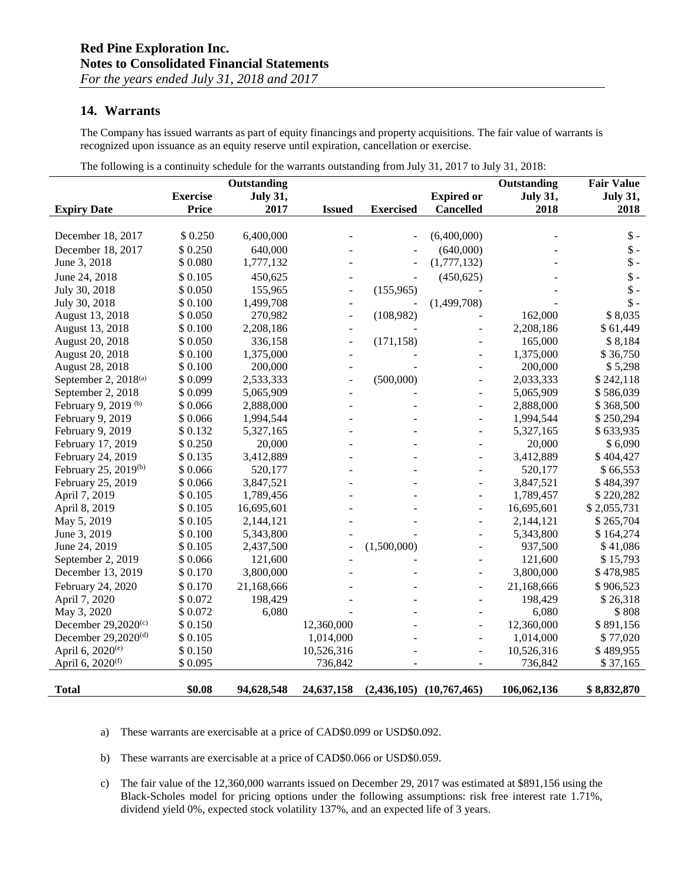# **14. Warrants**

The Company has issued warrants as part of equity financings and property acquisitions. The fair value of warrants is recognized upon issuance as an equity reserve until expiration, cancellation or exercise.

|                    |                 | Outstanding     |                          |                          |                   | Outstanding     | <b>Fair Value</b> |
|--------------------|-----------------|-----------------|--------------------------|--------------------------|-------------------|-----------------|-------------------|
|                    | <b>Exercise</b> | <b>July 31,</b> |                          |                          | <b>Expired or</b> | <b>July 31,</b> | <b>July 31,</b>   |
| <b>Expiry Date</b> | Price           | 2017            | <b>Issued</b>            | <b>Exercised</b>         | <b>Cancelled</b>  | 2018            | 2018              |
| December 18, 2017  | \$0.250         | 6,400,000       |                          |                          | (6,400,000)       |                 | $\mathbb{S}$ -    |
| December 18, 2017  | \$0.250         | 640,000         |                          | $\overline{\phantom{0}}$ | (640,000)         |                 | $\mathbb{S}$ -    |
| June 3, 2018       | \$0.080         | 1,777,132       |                          | ۰.                       | (1,777,132)       |                 | $\mathbb{S}$ -    |
| June 24, 2018      | \$0.105         | 450.625         |                          |                          | (450,625)         |                 | $\mathbb{S}$ -    |
| July 30, 2018      | \$0.050         | 155,965         | -                        | (155, 965)               |                   |                 | $\mathbb{S}$ -    |
| July 30, 2018      | \$0.100         | 1,499,708       | $\overline{\phantom{0}}$ |                          | (1,499,708)       |                 | $\mathbf{\$}$ -   |
| August 13, 2018    | \$0.050         | 270.982         | $\overline{\phantom{a}}$ | (108,982)                |                   | 162,000         | \$8,035           |
| August 13, 2018    | \$0.100         | 2,208,186       | $\overline{\phantom{0}}$ |                          | -                 | 2,208,186       | \$61,449          |
| August 20, 2018    | \$ 0.050        | 336,158         | $\overline{\phantom{a}}$ | (171, 158)               |                   | 165,000         | \$8,184           |
| August 20, 2018    | \$0.100         | 1,375,000       |                          |                          |                   | 1,375,000       | \$36,750          |

August 28, 2018 \$ 0.100 200,000 - - - - 200,000 \$ 5,298 September 2, 2018<sup>(a)</sup> \$ 0.099 2,533,333 - (500,000) - 2,033,333 \$ 242,118 September 2, 2018 \$ 0.099 5,065,909 - - - - - - - - 5,065,909 \$ 586,039 February 9, 2019 <sup>(b)</sup>  $$0.066$   $2,888,000$  -  $$368,500$ February 9, 2019 \$ 0.066 1,994,544 - - - - - 1,994,544 \$ 250,294 February 9, 2019 \$ 0.132 5,327,165 - - 5,327,165 \$ 633,935 February 17, 2019 \$ 0.250 20,000 - - - 20,000 \$ 6,090 February 24, 2019  $\qquad \qquad$  \$ 0.135 3,412,889 - - - - 3,412,889 \$ 404,427 February 25, 2019<sup>(b)</sup> \$ 0.066 520,177 - - - 520,177 \$ 66,553 February 25, 2019 \$ 0.066 3,847,521 - - 3,847,521 \$ 484,397 April 7, 2019 \$ 0.105 1,789,456 - - - 1,789,457 \$ 220,282 April 8, 2019 \$ 0.105 16,695,601 - - - - - - - - - - 16,695,601 \$ 2,055,731 May 5, 2019 \$ 0.105 2,144,121 - - - - 2,144,121 \$ 265,704 June 3, 2019 \$ 0.100 5,343,800 - - - - 5,343,800 \$ 164,274 June 24, 2019 \$ 0.105 2,437,500 - (1,500,000) - 937,500 \$ 41,086 September 2, 2019 \$ 0.066 121,600 - - - 121,600 \$ 15,793 December 13, 2019 \$ 0.170 3,800,000 - - 3,800,000 \$ 478,985 February 24, 2020 \$ 0.170 21,168,666 - - - 21,168,666 \$ 906,523 April 7, 2020  $$0.072$  198,429 - - - 198,429  $$26,318$ May 3, 2020 \$ 0.072 6,080 - - - 6,080 \$ 808 December  $29,2020^{\text{(c)}}$  \$ 0.150 12,360,000 - 12,360,000 \$ 891,156 December 29,2020<sup>(d)</sup> \$ 0.105 1,014,000 - 1,014,000 \$ 77,020 April 6,  $2020^{(e)}$  \$ 0.150 10,526,316 - 10,526,316 \$ 489,955 April 6, 2020<sup>(f)</sup> \$ 0.095 736,842 - 736,842 \$ 37,165

The following is a continuity schedule for the warrants outstanding from July 31, 2017 to July 31, 2018:

a) These warrants are exercisable at a price of CAD\$0.099 or USD\$0.092.

b) These warrants are exercisable at a price of CAD\$0.066 or USD\$0.059.

c) The fair value of the 12,360,000 warrants issued on December 29, 2017 was estimated at \$891,156 using the Black-Scholes model for pricing options under the following assumptions: risk free interest rate 1.71%, dividend yield 0%, expected stock volatility 137%, and an expected life of 3 years.

**Total \$0.08 94,628,548 24,637,158 (2,436,105) (10,767,465) 106,062,136 \$ 8,832,870**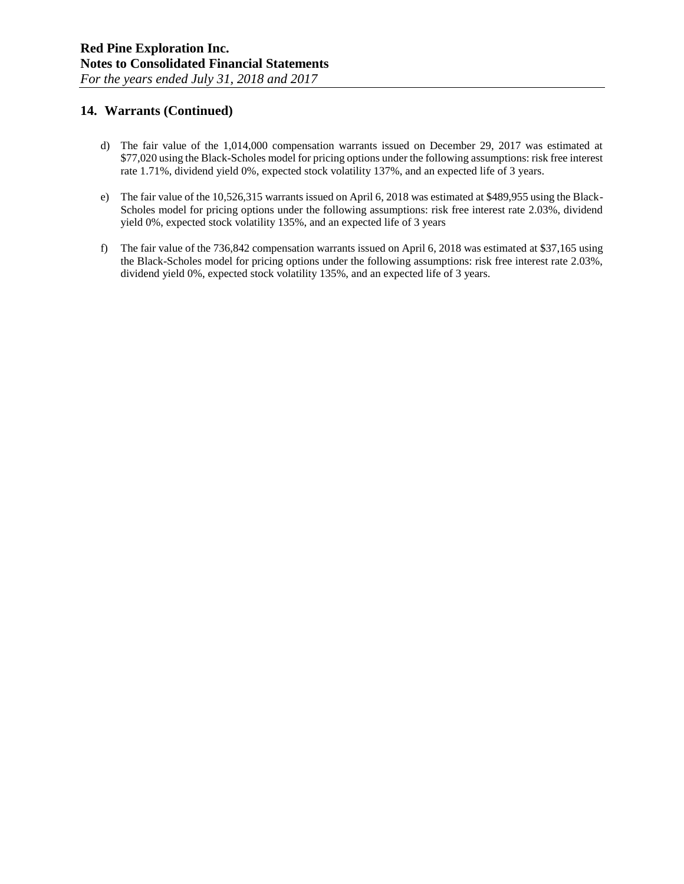# **14. Warrants (Continued)**

- d) The fair value of the 1,014,000 compensation warrants issued on December 29, 2017 was estimated at \$77,020 using the Black-Scholes model for pricing options under the following assumptions: risk free interest rate 1.71%, dividend yield 0%, expected stock volatility 137%, and an expected life of 3 years.
- e) The fair value of the 10,526,315 warrants issued on April 6, 2018 was estimated at \$489,955 using the Black-Scholes model for pricing options under the following assumptions: risk free interest rate 2.03%, dividend yield 0%, expected stock volatility 135%, and an expected life of 3 years
- f) The fair value of the 736,842 compensation warrants issued on April 6, 2018 was estimated at \$37,165 using the Black-Scholes model for pricing options under the following assumptions: risk free interest rate 2.03%, dividend yield 0%, expected stock volatility 135%, and an expected life of 3 years.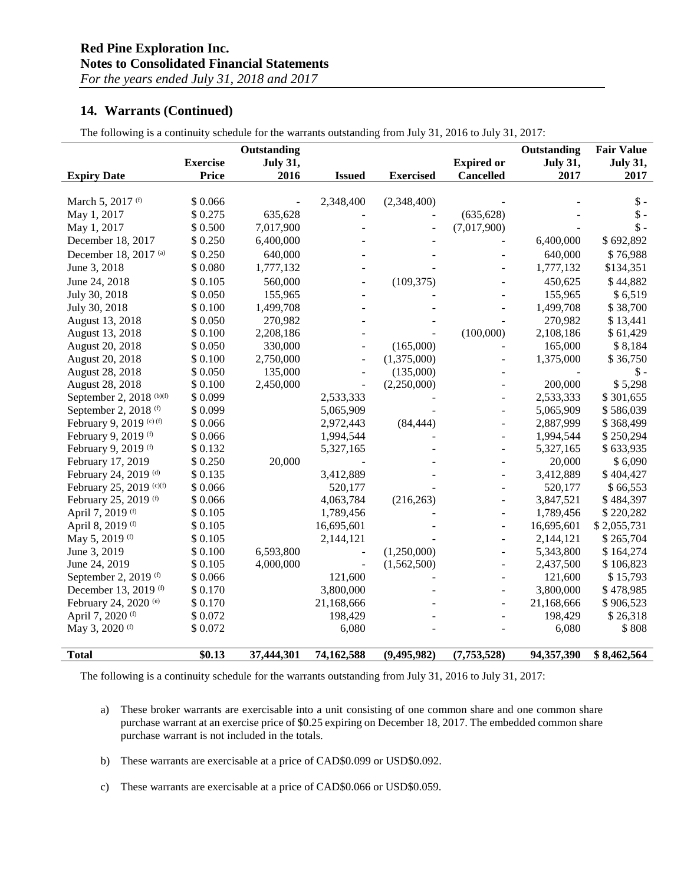# **14. Warrants (Continued)**

The following is a continuity schedule for the warrants outstanding from July 31, 2016 to July 31, 2017:

|                                  |                 | Outstanding     |                          |                  |                   | Outstanding     | <b>Fair Value</b>     |
|----------------------------------|-----------------|-----------------|--------------------------|------------------|-------------------|-----------------|-----------------------|
|                                  | <b>Exercise</b> | <b>July 31,</b> |                          |                  | <b>Expired or</b> | <b>July 31,</b> | <b>July 31,</b>       |
| <b>Expiry Date</b>               | Price           | 2016            | <b>Issued</b>            | <b>Exercised</b> | <b>Cancelled</b>  | 2017            | 2017                  |
|                                  |                 |                 |                          |                  |                   |                 |                       |
| March 5, 2017 (f)                | \$0.066         |                 | 2,348,400                | (2,348,400)      |                   |                 | $\hat{\mathcal{S}}$ - |
| May 1, 2017                      | \$0.275         | 635,628         |                          |                  | (635, 628)        |                 | $\$ -                 |
| May 1, 2017                      | \$0.500         | 7,017,900       |                          |                  | (7,017,900)       |                 | $\mathsf{\$}$ -       |
| December 18, 2017                | \$0.250         | 6,400,000       |                          |                  |                   | 6,400,000       | \$692,892             |
| December 18, 2017 (a)            | \$0.250         | 640,000         |                          |                  |                   | 640,000         | \$76,988              |
| June 3, 2018                     | \$0.080         | 1,777,132       |                          |                  |                   | 1,777,132       | \$134,351             |
| June 24, 2018                    | \$0.105         | 560,000         |                          | (109, 375)       |                   | 450,625         | \$44,882              |
| July 30, 2018                    | \$0.050         | 155,965         |                          |                  |                   | 155,965         | \$6,519               |
| July 30, 2018                    | \$0.100         | 1,499,708       |                          |                  |                   | 1,499,708       | \$38,700              |
| August 13, 2018                  | \$0.050         | 270,982         |                          |                  |                   | 270,982         | \$13,441              |
| August 13, 2018                  | \$0.100         | 2,208,186       |                          |                  | (100,000)         | 2,108,186       | \$61,429              |
| August 20, 2018                  | \$0.050         | 330,000         |                          | (165,000)        |                   | 165,000         | \$8,184               |
| August 20, 2018                  | \$0.100         | 2,750,000       | $\overline{a}$           | (1,375,000)      |                   | 1,375,000       | \$36,750              |
| August 28, 2018                  | \$0.050         | 135,000         | $\overline{\phantom{a}}$ | (135,000)        |                   |                 | $\$ -                 |
| August 28, 2018                  | \$0.100         | 2,450,000       |                          | (2,250,000)      |                   | 200,000         | \$5,298               |
| September 2, 2018 (b)(f)         | \$0.099         |                 | 2,533,333                |                  |                   | 2,533,333       | \$301,655             |
| September 2, 2018 <sup>(f)</sup> | \$0.099         |                 | 5,065,909                |                  | L.                | 5,065,909       | \$586,039             |
| February 9, 2019 (c) (f)         | \$0.066         |                 | 2,972,443                | (84, 444)        |                   | 2,887,999       | \$368,499             |
| February 9, 2019 (f)             | \$0.066         |                 | 1,994,544                |                  | ٠                 | 1,994,544       | \$250,294             |
| February 9, 2019 (f)             | \$0.132         |                 | 5,327,165                |                  |                   | 5,327,165       | \$633,935             |
| February 17, 2019                | \$0.250         | 20,000          |                          |                  |                   | 20,000          | \$6,090               |
| February 24, 2019 (d)            | \$0.135         |                 | 3,412,889                |                  |                   | 3,412,889       | \$404,427             |
| February 25, 2019 (c)(f)         | \$0.066         |                 | 520,177                  |                  |                   | 520,177         | \$66,553              |
| February 25, 2019 (f)            | \$0.066         |                 | 4,063,784                | (216, 263)       |                   | 3,847,521       | \$484,397             |
| April 7, 2019 (f)                | \$0.105         |                 | 1,789,456                |                  |                   | 1,789,456       | \$220,282             |
| April 8, 2019 (f)                | \$0.105         |                 | 16,695,601               |                  | ÷                 | 16,695,601      | \$2,055,731           |
| May 5, 2019 (f)                  | \$0.105         |                 | 2,144,121                |                  |                   | 2,144,121       | \$265,704             |
| June 3, 2019                     | \$0.100         | 6,593,800       |                          | (1,250,000)      |                   | 5,343,800       | \$164,274             |
| June 24, 2019                    | \$0.105         | 4,000,000       |                          | (1,562,500)      |                   | 2,437,500       | \$106,823             |
| September 2, 2019 <sup>(f)</sup> | \$0.066         |                 | 121,600                  |                  |                   | 121,600         | \$15,793              |
| December 13, 2019 <sup>(f)</sup> | \$0.170         |                 | 3,800,000                |                  |                   | 3,800,000       | \$478,985             |
| February 24, 2020 <sup>(e)</sup> | \$0.170         |                 | 21,168,666               |                  |                   | 21,168,666      | \$906,523             |
| April 7, 2020 <sup>(f)</sup>     | \$0.072         |                 | 198,429                  |                  |                   | 198,429         | \$26,318              |
| May 3, 2020 (f)                  | \$0.072         |                 | 6,080                    |                  |                   | 6,080           | \$808                 |
| <b>Total</b>                     | \$0.13          | 37,444,301      | 74,162,588               | (9, 495, 982)    | (7, 753, 528)     | 94,357,390      | \$8,462,564           |

The following is a continuity schedule for the warrants outstanding from July 31, 2016 to July 31, 2017:

- a) These broker warrants are exercisable into a unit consisting of one common share and one common share purchase warrant at an exercise price of \$0.25 expiring on December 18, 2017. The embedded common share purchase warrant is not included in the totals.
- b) These warrants are exercisable at a price of CAD\$0.099 or USD\$0.092.
- c) These warrants are exercisable at a price of CAD\$0.066 or USD\$0.059.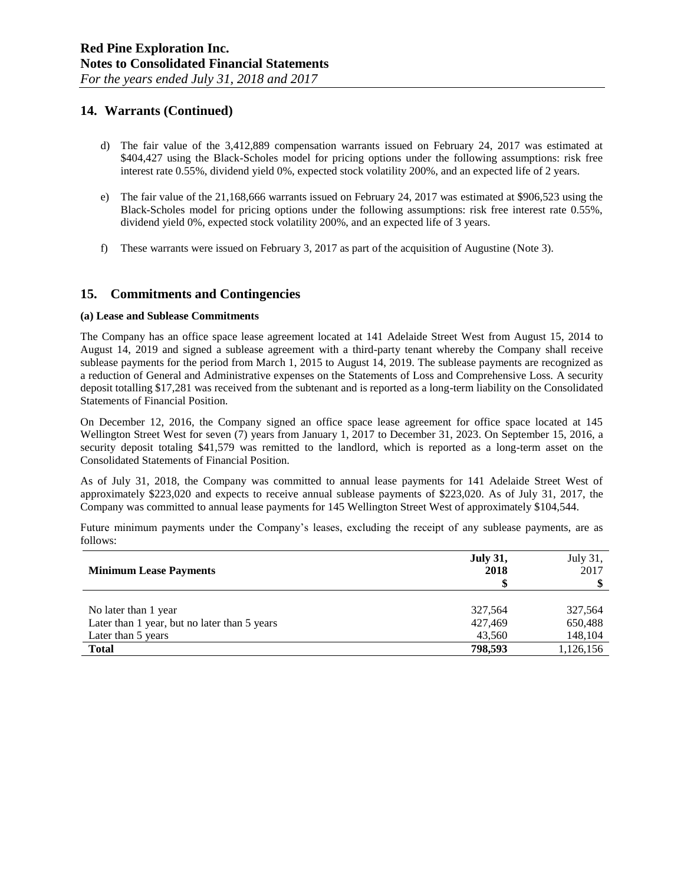# **14. Warrants (Continued)**

- d) The fair value of the 3,412,889 compensation warrants issued on February 24, 2017 was estimated at \$404,427 using the Black-Scholes model for pricing options under the following assumptions: risk free interest rate 0.55%, dividend yield 0%, expected stock volatility 200%, and an expected life of 2 years.
- e) The fair value of the 21,168,666 warrants issued on February 24, 2017 was estimated at \$906,523 using the Black-Scholes model for pricing options under the following assumptions: risk free interest rate 0.55%, dividend yield 0%, expected stock volatility 200%, and an expected life of 3 years.
- f) These warrants were issued on February 3, 2017 as part of the acquisition of Augustine (Note 3).

### **15. Commitments and Contingencies**

### **(a) Lease and Sublease Commitments**

The Company has an office space lease agreement located at 141 Adelaide Street West from August 15, 2014 to August 14, 2019 and signed a sublease agreement with a third-party tenant whereby the Company shall receive sublease payments for the period from March 1, 2015 to August 14, 2019. The sublease payments are recognized as a reduction of General and Administrative expenses on the Statements of Loss and Comprehensive Loss. A security deposit totalling \$17,281 was received from the subtenant and is reported as a long-term liability on the Consolidated Statements of Financial Position.

On December 12, 2016, the Company signed an office space lease agreement for office space located at 145 Wellington Street West for seven (7) years from January 1, 2017 to December 31, 2023. On September 15, 2016, a security deposit totaling \$41,579 was remitted to the landlord, which is reported as a long-term asset on the Consolidated Statements of Financial Position.

As of July 31, 2018, the Company was committed to annual lease payments for 141 Adelaide Street West of approximately \$223,020 and expects to receive annual sublease payments of \$223,020. As of July 31, 2017, the Company was committed to annual lease payments for 145 Wellington Street West of approximately \$104,544.

Future minimum payments under the Company's leases, excluding the receipt of any sublease payments, are as follows:

| <b>Minimum Lease Payments</b>                | <b>July 31,</b><br>2018 | July 31,<br>2017 |
|----------------------------------------------|-------------------------|------------------|
| No later than 1 year                         | 327.564                 | 327,564          |
| Later than 1 year, but no later than 5 years | 427,469                 | 650,488          |
| Later than 5 years                           | 43,560                  | 148,104          |
| <b>Total</b>                                 | 798,593                 | 1,126,156        |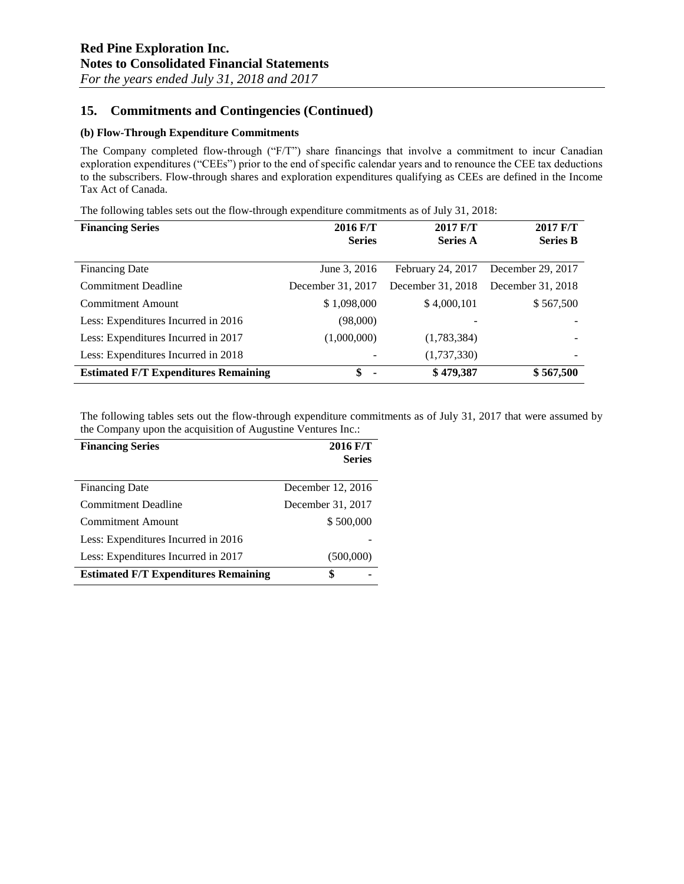# **15. Commitments and Contingencies (Continued)**

### **(b) Flow-Through Expenditure Commitments**

The Company completed flow-through ("F/T") share financings that involve a commitment to incur Canadian exploration expenditures ("CEEs") prior to the end of specific calendar years and to renounce the CEE tax deductions to the subscribers. Flow-through shares and exploration expenditures qualifying as CEEs are defined in the Income Tax Act of Canada.

The following tables sets out the flow-through expenditure commitments as of July 31, 2018:

| <b>Financing Series</b>                     | 2016 F/T<br><b>Series</b> | 2017 F/T<br><b>Series A</b> | 2017 F/T<br><b>Series B</b> |
|---------------------------------------------|---------------------------|-----------------------------|-----------------------------|
|                                             |                           |                             |                             |
| <b>Financing Date</b>                       | June 3, 2016              | February 24, 2017           | December 29, 2017           |
| Commitment Deadline                         | December 31, 2017         | December 31, 2018           | December 31, 2018           |
| <b>Commitment Amount</b>                    | \$1,098,000               | \$4,000,101                 | \$567,500                   |
| Less: Expenditures Incurred in 2016         | (98,000)                  |                             |                             |
| Less: Expenditures Incurred in 2017         | (1,000,000)               | (1,783,384)                 |                             |
| Less: Expenditures Incurred in 2018         |                           | (1,737,330)                 | $\qquad \qquad$             |
| <b>Estimated F/T Expenditures Remaining</b> | \$<br>$\sim$              | \$479,387                   | \$567,500                   |

The following tables sets out the flow-through expenditure commitments as of July 31, 2017 that were assumed by the Company upon the acquisition of Augustine Ventures Inc.:

| <b>Financing Series</b>                     | 2016 F/T<br><b>Series</b> |
|---------------------------------------------|---------------------------|
| <b>Financing Date</b>                       | December 12, 2016         |
| <b>Commitment Deadline</b>                  | December 31, 2017         |
| Commitment Amount                           | \$500,000                 |
| Less: Expenditures Incurred in 2016         |                           |
| Less: Expenditures Incurred in 2017         | (500,000)                 |
| <b>Estimated F/T Expenditures Remaining</b> | \$                        |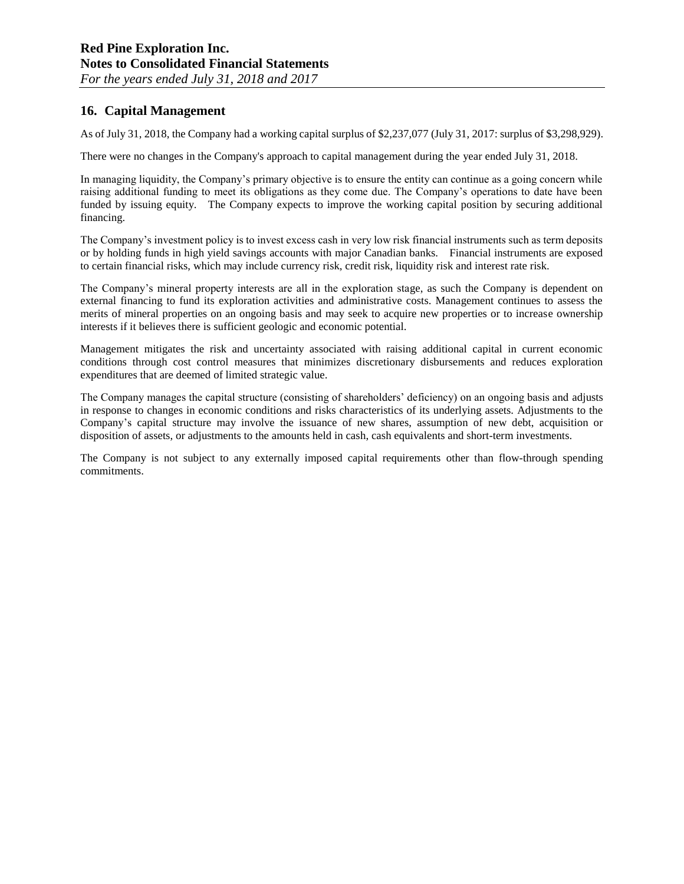# **16. Capital Management**

As of July 31, 2018, the Company had a working capital surplus of \$2,237,077 (July 31, 2017: surplus of \$3,298,929).

There were no changes in the Company's approach to capital management during the year ended July 31, 2018.

In managing liquidity, the Company's primary objective is to ensure the entity can continue as a going concern while raising additional funding to meet its obligations as they come due. The Company's operations to date have been funded by issuing equity. The Company expects to improve the working capital position by securing additional financing.

The Company's investment policy is to invest excess cash in very low risk financial instruments such as term deposits or by holding funds in high yield savings accounts with major Canadian banks. Financial instruments are exposed to certain financial risks, which may include currency risk, credit risk, liquidity risk and interest rate risk.

The Company's mineral property interests are all in the exploration stage, as such the Company is dependent on external financing to fund its exploration activities and administrative costs. Management continues to assess the merits of mineral properties on an ongoing basis and may seek to acquire new properties or to increase ownership interests if it believes there is sufficient geologic and economic potential.

Management mitigates the risk and uncertainty associated with raising additional capital in current economic conditions through cost control measures that minimizes discretionary disbursements and reduces exploration expenditures that are deemed of limited strategic value.

The Company manages the capital structure (consisting of shareholders' deficiency) on an ongoing basis and adjusts in response to changes in economic conditions and risks characteristics of its underlying assets. Adjustments to the Company's capital structure may involve the issuance of new shares, assumption of new debt, acquisition or disposition of assets, or adjustments to the amounts held in cash, cash equivalents and short-term investments.

The Company is not subject to any externally imposed capital requirements other than flow-through spending commitments.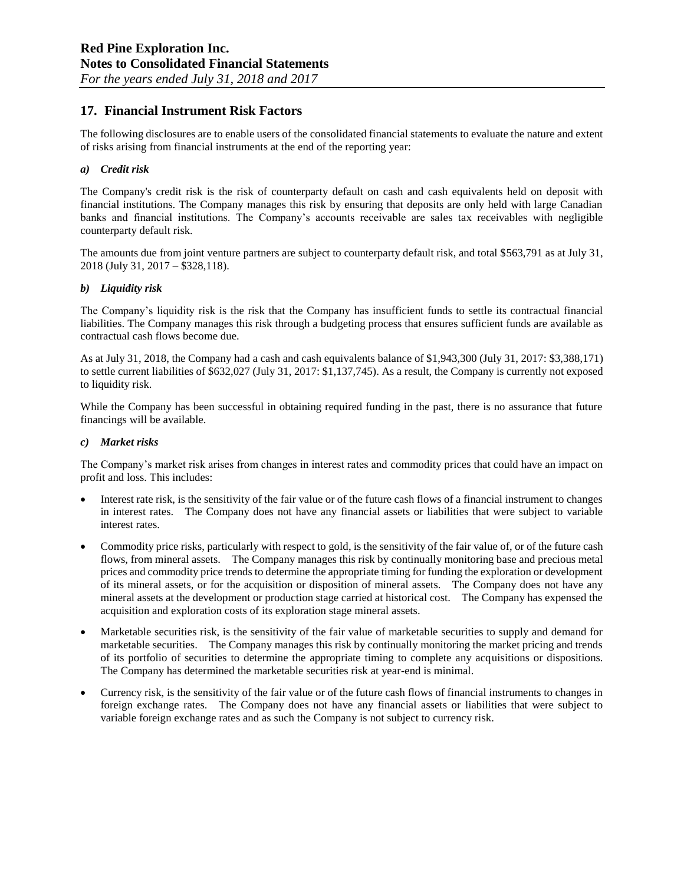# **17. Financial Instrument Risk Factors**

The following disclosures are to enable users of the consolidated financial statements to evaluate the nature and extent of risks arising from financial instruments at the end of the reporting year:

### *a) Credit risk*

The Company's credit risk is the risk of counterparty default on cash and cash equivalents held on deposit with financial institutions. The Company manages this risk by ensuring that deposits are only held with large Canadian banks and financial institutions. The Company's accounts receivable are sales tax receivables with negligible counterparty default risk.

The amounts due from joint venture partners are subject to counterparty default risk, and total \$563,791 as at July 31, 2018 (July 31, 2017 – \$328,118).

### *b) Liquidity risk*

The Company's liquidity risk is the risk that the Company has insufficient funds to settle its contractual financial liabilities. The Company manages this risk through a budgeting process that ensures sufficient funds are available as contractual cash flows become due.

As at July 31, 2018, the Company had a cash and cash equivalents balance of \$1,943,300 (July 31, 2017: \$3,388,171) to settle current liabilities of \$632,027 (July 31, 2017: \$1,137,745). As a result, the Company is currently not exposed to liquidity risk.

While the Company has been successful in obtaining required funding in the past, there is no assurance that future financings will be available.

#### *c) Market risks*

The Company's market risk arises from changes in interest rates and commodity prices that could have an impact on profit and loss. This includes:

- Interest rate risk, is the sensitivity of the fair value or of the future cash flows of a financial instrument to changes in interest rates. The Company does not have any financial assets or liabilities that were subject to variable interest rates.
- Commodity price risks, particularly with respect to gold, is the sensitivity of the fair value of, or of the future cash flows, from mineral assets. The Company manages this risk by continually monitoring base and precious metal prices and commodity price trends to determine the appropriate timing for funding the exploration or development of its mineral assets, or for the acquisition or disposition of mineral assets. The Company does not have any mineral assets at the development or production stage carried at historical cost. The Company has expensed the acquisition and exploration costs of its exploration stage mineral assets.
- Marketable securities risk, is the sensitivity of the fair value of marketable securities to supply and demand for marketable securities. The Company manages this risk by continually monitoring the market pricing and trends of its portfolio of securities to determine the appropriate timing to complete any acquisitions or dispositions. The Company has determined the marketable securities risk at year-end is minimal.
- Currency risk, is the sensitivity of the fair value or of the future cash flows of financial instruments to changes in foreign exchange rates. The Company does not have any financial assets or liabilities that were subject to variable foreign exchange rates and as such the Company is not subject to currency risk.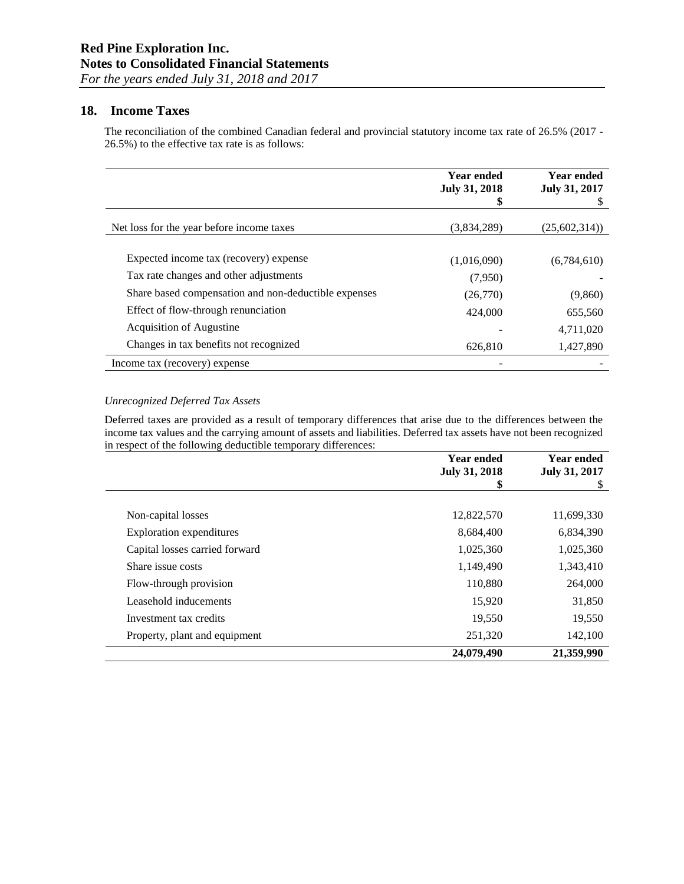# **18. Income Taxes**

The reconciliation of the combined Canadian federal and provincial statutory income tax rate of 26.5% (2017 - 26.5%) to the effective tax rate is as follows:

|                                                      | <b>Year ended</b><br><b>July 31, 2018</b> | <b>Year ended</b><br><b>July 31, 2017</b> |
|------------------------------------------------------|-------------------------------------------|-------------------------------------------|
| Net loss for the year before income taxes            | (3,834,289)                               | (25,602,314))                             |
|                                                      |                                           |                                           |
| Expected income tax (recovery) expense               | (1,016,090)                               | (6,784,610)                               |
| Tax rate changes and other adjustments               | (7,950)                                   |                                           |
| Share based compensation and non-deductible expenses | (26,770)                                  | (9,860)                                   |
| Effect of flow-through renunciation                  | 424,000                                   | 655,560                                   |
| Acquisition of Augustine                             |                                           | 4,711,020                                 |
| Changes in tax benefits not recognized               | 626,810                                   | 1,427,890                                 |
| Income tax (recovery) expense                        |                                           |                                           |

### *Unrecognized Deferred Tax Assets*

Deferred taxes are provided as a result of temporary differences that arise due to the differences between the income tax values and the carrying amount of assets and liabilities. Deferred tax assets have not been recognized in respect of the following deductible temporary differences:

|                                | <b>Year ended</b><br><b>July 31, 2018</b> | <b>Year ended</b><br><b>July 31, 2017</b> |
|--------------------------------|-------------------------------------------|-------------------------------------------|
|                                | \$                                        | S                                         |
|                                |                                           |                                           |
| Non-capital losses             | 12,822,570                                | 11,699,330                                |
| Exploration expenditures       | 8,684,400                                 | 6,834,390                                 |
| Capital losses carried forward | 1,025,360                                 | 1,025,360                                 |
| Share issue costs              | 1,149,490                                 | 1,343,410                                 |
| Flow-through provision         | 110,880                                   | 264,000                                   |
| Leasehold inducements          | 15,920                                    | 31,850                                    |
| Investment tax credits         | 19,550                                    | 19,550                                    |
| Property, plant and equipment  | 251,320                                   | 142,100                                   |
|                                | 24,079,490                                | 21,359,990                                |